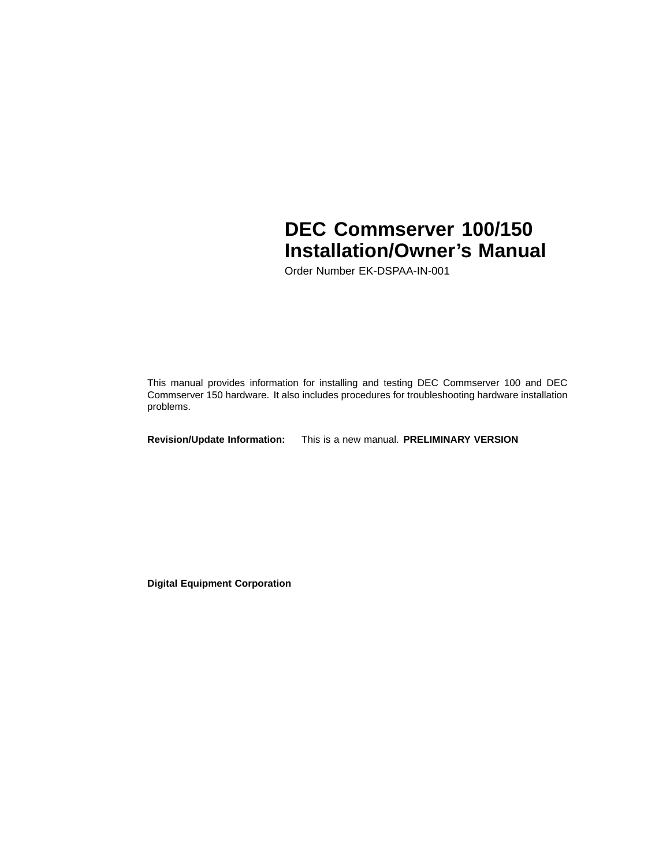# **DEC Commserver 100/150 Installation/Owner's Manual**

Order Number EK-DSPAA-IN-001

This manual provides information for installing and testing DEC Commserver 100 and DEC Commserver 150 hardware. It also includes procedures for troubleshooting hardware installation problems.

**Revision/Update Information:** This is a new manual. **PRELIMINARY VERSION**

**Digital Equipment Corporation**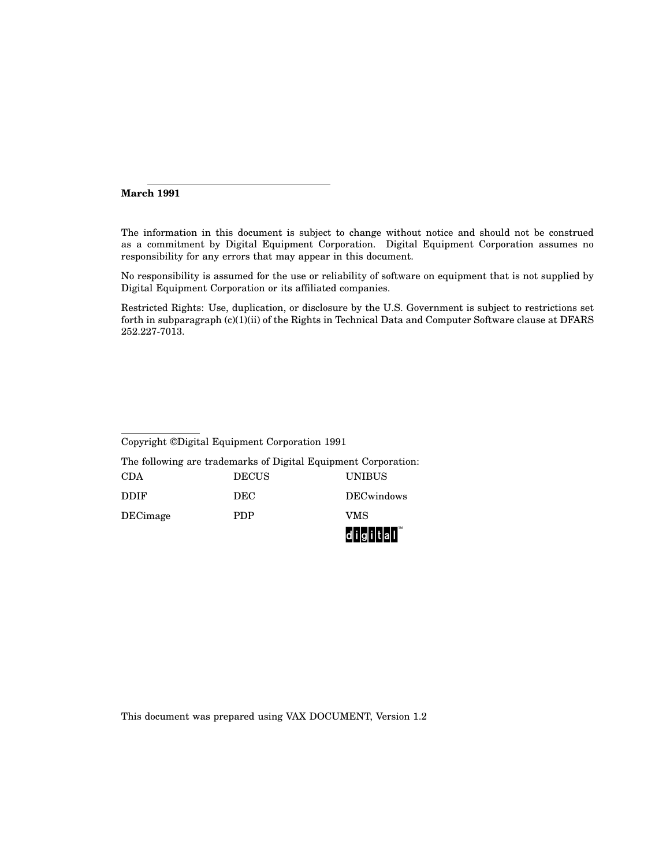#### **March 1991**

The information in this document is subject to change without notice and should not be construed as a commitment by Digital Equipment Corporation. Digital Equipment Corporation assumes no responsibility for any errors that may appear in this document.

No responsibility is assumed for the use or reliability of software on equipment that is not supplied by Digital Equipment Corporation or its affiliated companies.

Restricted Rights: Use, duplication, or disclosure by the U.S. Government is subject to restrictions set forth in subparagraph (c)(1)(ii) of the Rights in Technical Data and Computer Software clause at DFARS 252.227-7013.

| Copyright ©Digital Equipment Corporation 1991                  |            |                    |  |  |  |  |
|----------------------------------------------------------------|------------|--------------------|--|--|--|--|
| The following are trademarks of Digital Equipment Corporation: |            |                    |  |  |  |  |
| <b>DECUS</b><br><b>UNIBUS</b><br><b>CDA</b>                    |            |                    |  |  |  |  |
| <b>DDIF</b>                                                    | <b>DEC</b> | <b>DEC</b> windows |  |  |  |  |
| VMS<br>DECimage<br>PDP                                         |            |                    |  |  |  |  |

This document was prepared using VAX DOCUMENT, Version 1.2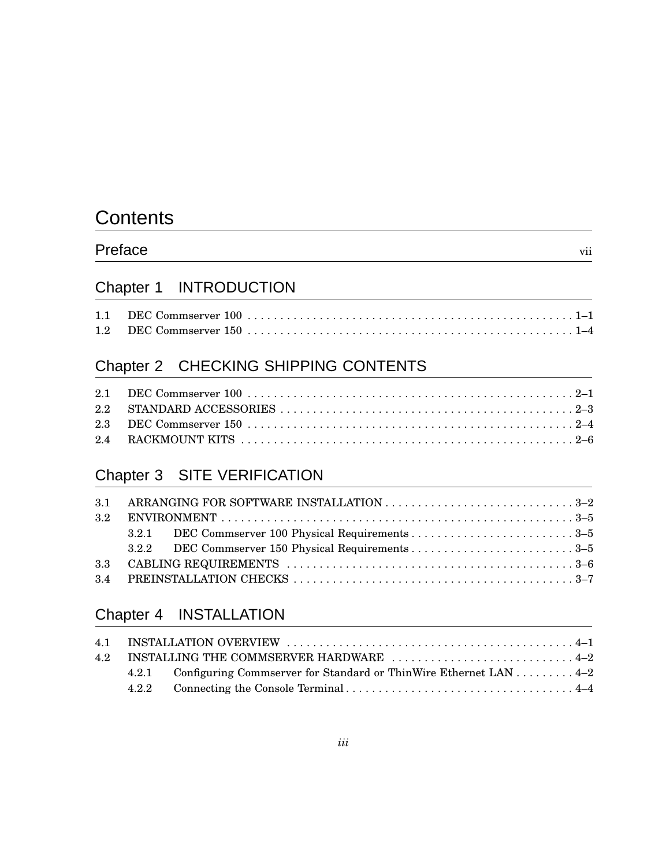# **Contents**

## Preface vii

## Chapter 1 INTRODUCTION

## Chapter 2 CHECKING SHIPPING CONTENTS

## Chapter 3 SITE VERIFICATION

| 3.2 |  |  |  |  |  |
|-----|--|--|--|--|--|
|     |  |  |  |  |  |
|     |  |  |  |  |  |
|     |  |  |  |  |  |
|     |  |  |  |  |  |

## Chapter 4 INSTALLATION

|  | 4.2.1 Configuring Commserver for Standard or ThinWire Ethernet LAN 4–2 |  |
|--|------------------------------------------------------------------------|--|
|  |                                                                        |  |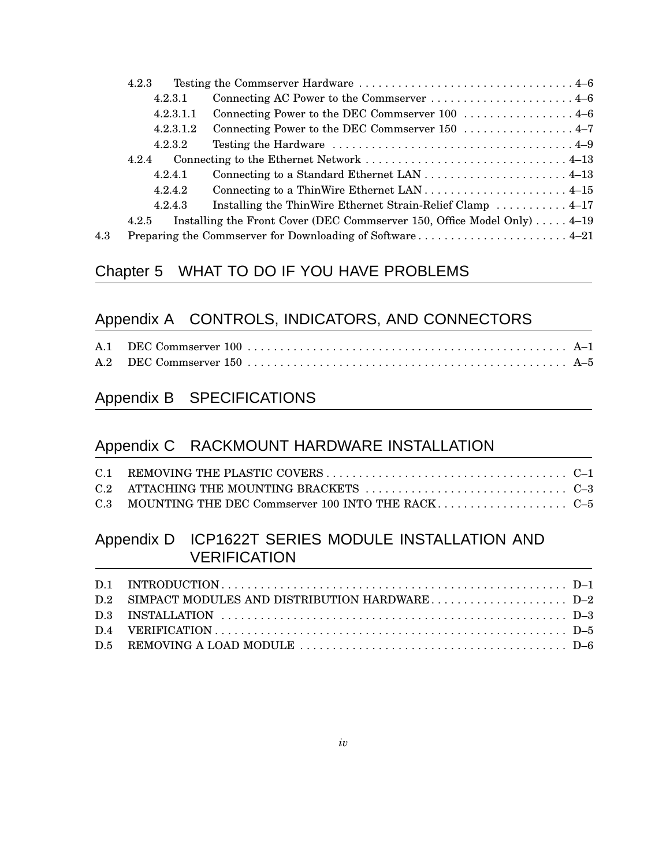|     | 4.2.3     |                                                                                 |
|-----|-----------|---------------------------------------------------------------------------------|
|     | 4.2.3.1   | Connecting AC Power to the Commserver  4–6                                      |
|     | 4.2.3.1.1 |                                                                                 |
|     | 4.2.3.1.2 |                                                                                 |
|     | 4.2.3.2   |                                                                                 |
|     | 4.2.4     |                                                                                 |
|     | 4.2.4.1   |                                                                                 |
|     | 4.2.4.2   |                                                                                 |
|     | 4.2.4.3   | Installing the ThinWire Ethernet Strain-Relief Clamp  4–17                      |
|     | 4.2.5     | Installing the Front Cover (DEC Commserver 150, Office Model Only) $\dots$ 4–19 |
| 4.3 |           | Preparing the Commserver for Downloading of Software 4-21                       |

## Chapter 5 WHAT TO DO IF YOU HAVE PROBLEMS

## Appendix A CONTROLS, INDICATORS, AND CONNECTORS

## Appendix B SPECIFICATIONS

## Appendix C RACKMOUNT HARDWARE INSTALLATION

## Appendix D ICP1622T SERIES MODULE INSTALLATION AND **VERIFICATION**

| D.2 SIMPACT MODULES AND DISTRIBUTION HARDWARED-2 |  |
|--------------------------------------------------|--|
|                                                  |  |
|                                                  |  |
|                                                  |  |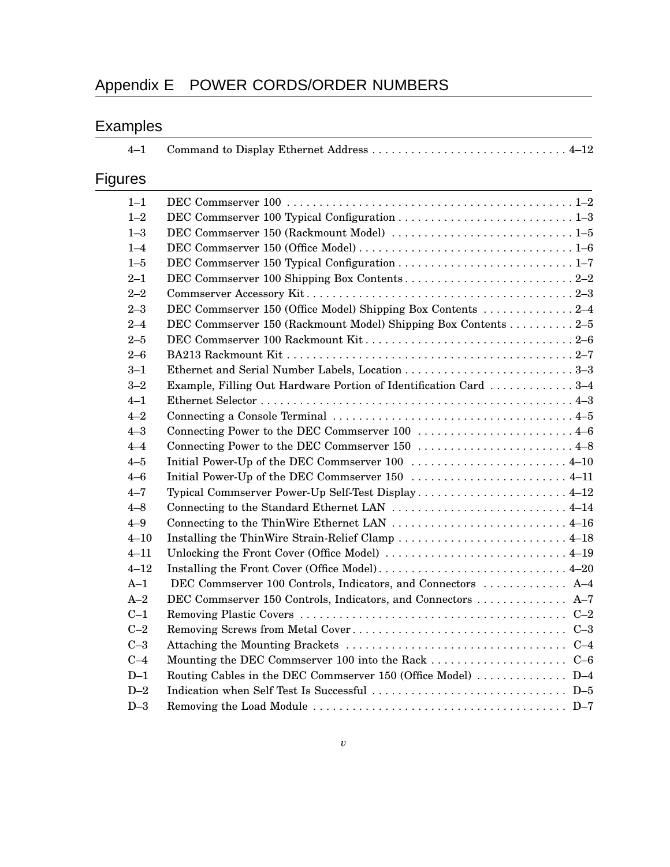# Appendix E POWER CORDS/ORDER NUMBERS

# Examples

| $4 - 1$  |                                                                  |  |
|----------|------------------------------------------------------------------|--|
| Figures  |                                                                  |  |
| $1 - 1$  |                                                                  |  |
| $1 - 2$  |                                                                  |  |
| $1 - 3$  |                                                                  |  |
| $1 - 4$  |                                                                  |  |
| $1 - 5$  |                                                                  |  |
| $2 - 1$  |                                                                  |  |
| $2 - 2$  |                                                                  |  |
| $2 - 3$  |                                                                  |  |
| $2 - 4$  | DEC Commserver 150 (Rackmount Model) Shipping Box Contents 2-5   |  |
| $2 - 5$  |                                                                  |  |
| $2 - 6$  |                                                                  |  |
| $3 - 1$  |                                                                  |  |
| $3 - 2$  | Example, Filling Out Hardware Portion of Identification Card 3-4 |  |
| $4 - 1$  |                                                                  |  |
| $4 - 2$  |                                                                  |  |
| $4 - 3$  | Connecting Power to the DEC Commserver 100  4–6                  |  |
| $4 - 4$  | Connecting Power to the DEC Commserver 150  4-8                  |  |
| $4 - 5$  |                                                                  |  |
| $4 - 6$  |                                                                  |  |
| $4 - 7$  | Typical Commserver Power-Up Self-Test Display 4-12               |  |
| $4 - 8$  | Connecting to the Standard Ethernet LAN  4–14                    |  |
| $4 - 9$  |                                                                  |  |
| $4 - 10$ |                                                                  |  |
| $4 - 11$ |                                                                  |  |
| $4 - 12$ |                                                                  |  |
| $A-1$    | DEC Commserver 100 Controls, Indicators, and Connectors  A-4     |  |
| $A-2$    | DEC Commserver 150 Controls, Indicators, and Connectors  A-7     |  |
| $C-1$    |                                                                  |  |
| $C-2$    |                                                                  |  |
| $C-3$    |                                                                  |  |
| $C-4$    |                                                                  |  |
| $D-1$    | Routing Cables in the DEC Commserver 150 (Office Model)  D-4     |  |
| $D-2$    |                                                                  |  |
| $D-3$    |                                                                  |  |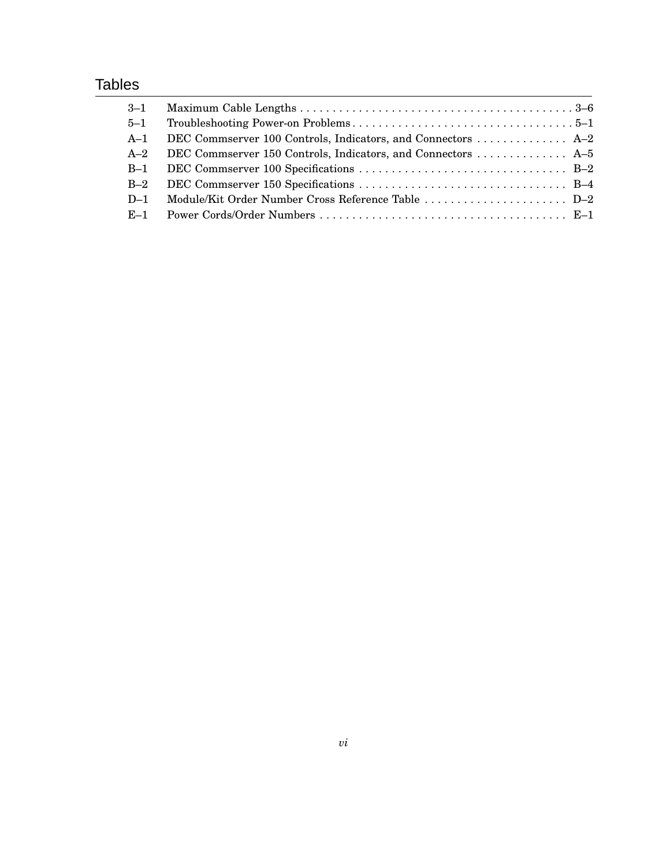## **Tables**

| $3 - 1$ |                                                              |  |
|---------|--------------------------------------------------------------|--|
| $5 - 1$ |                                                              |  |
| $A-1$   |                                                              |  |
| $A-2$   | DEC Commserver 150 Controls, Indicators, and Connectors  A-5 |  |
| $B-1$   |                                                              |  |
| $B-2$   |                                                              |  |
| $D-1$   |                                                              |  |
|         |                                                              |  |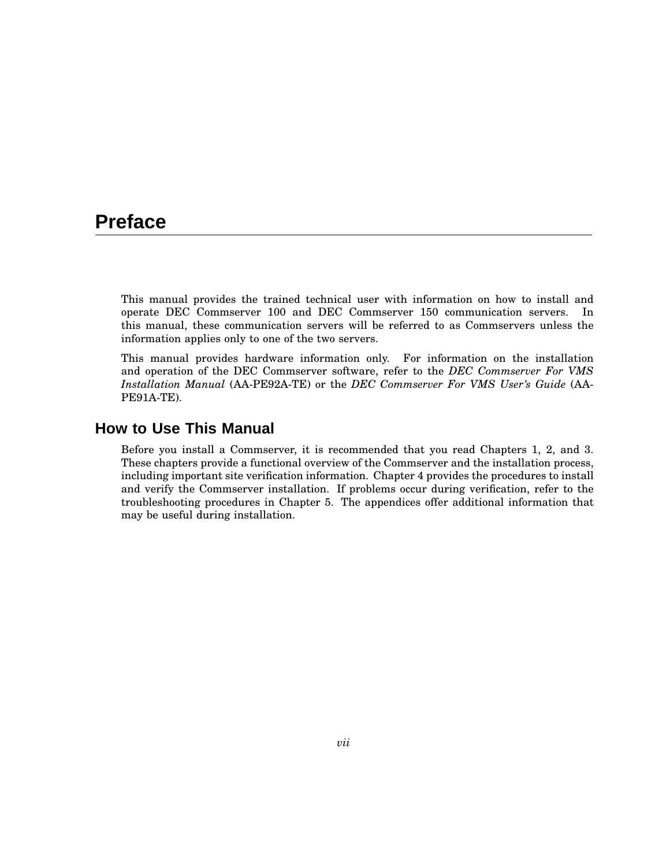## **Preface**

This manual provides the trained technical user with information on how to install and operate DEC Commserver 100 and DEC Commserver 150 communication servers. In this manual, these communication servers will be referred to as Commservers unless the information applies only to one of the two servers.

This manual provides hardware information only. For information on the installation and operation of the DEC Commserver software, refer to the *DEC Commserver For VMS Installation Manual* (AA-PE92A-TE) or the *DEC Commserver For VMS User's Guide* (AA-PE91A-TE).

## **How to Use This Manual**

Before you install a Commserver, it is recommended that you read Chapters 1, 2, and 3. These chapters provide a functional overview of the Commserver and the installation process, including important site verification information. Chapter 4 provides the procedures to install and verify the Commserver installation. If problems occur during verification, refer to the troubleshooting procedures in Chapter 5. The appendices offer additional information that may be useful during installation.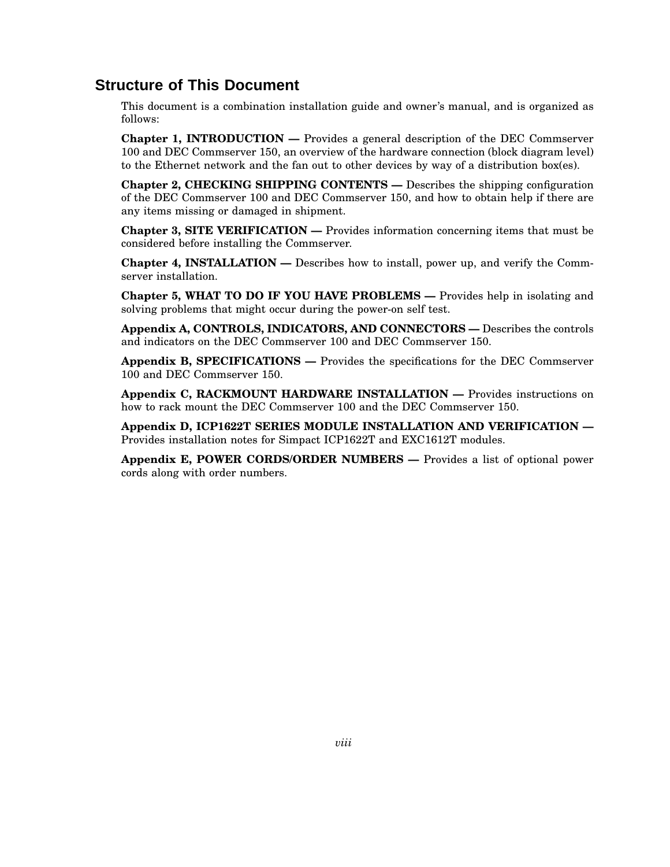### **Structure of This Document**

This document is a combination installation guide and owner's manual, and is organized as follows:

**Chapter 1, INTRODUCTION —** Provides a general description of the DEC Commserver 100 and DEC Commserver 150, an overview of the hardware connection (block diagram level) to the Ethernet network and the fan out to other devices by way of a distribution box(es).

**Chapter 2, CHECKING SHIPPING CONTENTS —** Describes the shipping configuration of the DEC Commserver 100 and DEC Commserver 150, and how to obtain help if there are any items missing or damaged in shipment.

**Chapter 3, SITE VERIFICATION —** Provides information concerning items that must be considered before installing the Commserver.

**Chapter 4, INSTALLATION —** Describes how to install, power up, and verify the Commserver installation.

**Chapter 5, WHAT TO DO IF YOU HAVE PROBLEMS —** Provides help in isolating and solving problems that might occur during the power-on self test.

**Appendix A, CONTROLS, INDICATORS, AND CONNECTORS —** Describes the controls and indicators on the DEC Commserver 100 and DEC Commserver 150.

**Appendix B, SPECIFICATIONS —** Provides the specifications for the DEC Commserver 100 and DEC Commserver 150.

**Appendix C, RACKMOUNT HARDWARE INSTALLATION —** Provides instructions on how to rack mount the DEC Commserver 100 and the DEC Commserver 150.

**Appendix D, ICP1622T SERIES MODULE INSTALLATION AND VERIFICATION —** Provides installation notes for Simpact ICP1622T and EXC1612T modules.

**Appendix E, POWER CORDS/ORDER NUMBERS —** Provides a list of optional power cords along with order numbers.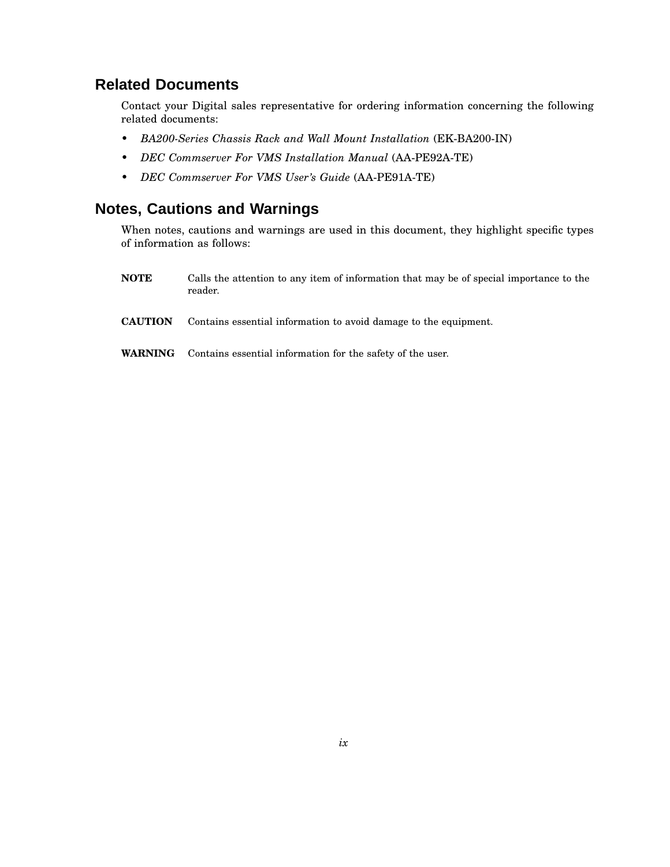## **Related Documents**

Contact your Digital sales representative for ordering information concerning the following related documents:

- *BA200-Series Chassis Rack and Wall Mount Installation* (EK-BA200-IN)
- *DEC Commserver For VMS Installation Manual* (AA-PE92A-TE)
- *DEC Commserver For VMS User's Guide* (AA-PE91A-TE)

## **Notes, Cautions and Warnings**

When notes, cautions and warnings are used in this document, they highlight specific types of information as follows:

- **NOTE** Calls the attention to any item of information that may be of special importance to the reader.
- **CAUTION** Contains essential information to avoid damage to the equipment.
- **WARNING** Contains essential information for the safety of the user.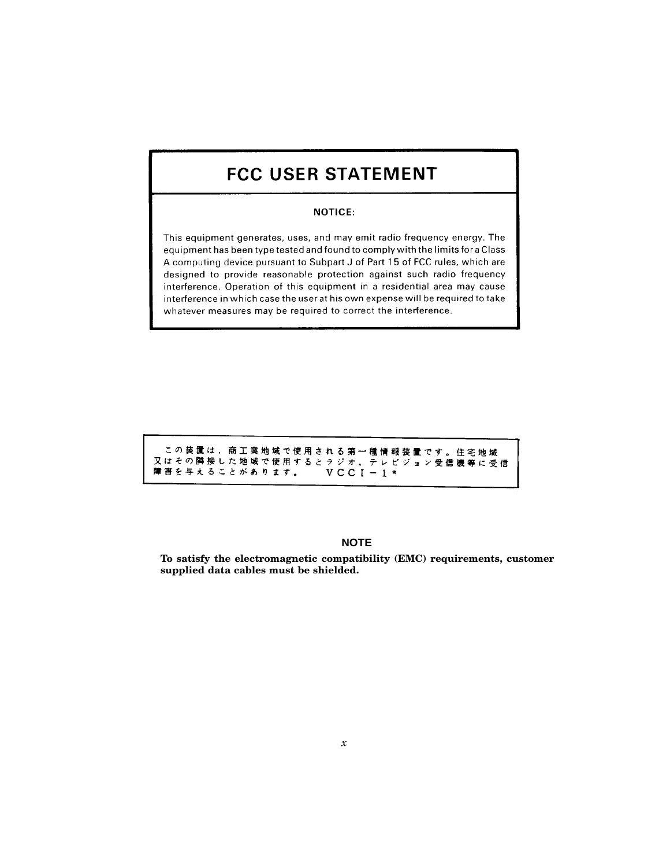## **FCC USER STATEMENT**

#### **NOTICE:**

This equipment generates, uses, and may emit radio frequency energy. The equipment has been type tested and found to comply with the limits for a Class A computing device pursuant to Subpart J of Part 15 of FCC rules, which are designed to provide reasonable protection against such radio frequency interference. Operation of this equipment in a residential area may cause interference in which case the user at his own expense will be required to take whatever measures may be required to correct the interference.

|                |           | この装置は、商工業地域で使用される第一種情報装置です。住宅地域   |  |
|----------------|-----------|-----------------------------------|--|
|                |           | 又はその隣接した地域で使用するとラジオ、テレビジョン受信機等に受信 |  |
| 障害を与えることがあります。 | $VCCI-1*$ |                                   |  |

#### **NOTE**

**To satisfy the electromagnetic compatibility (EMC) requirements, customer supplied data cables must be shielded.**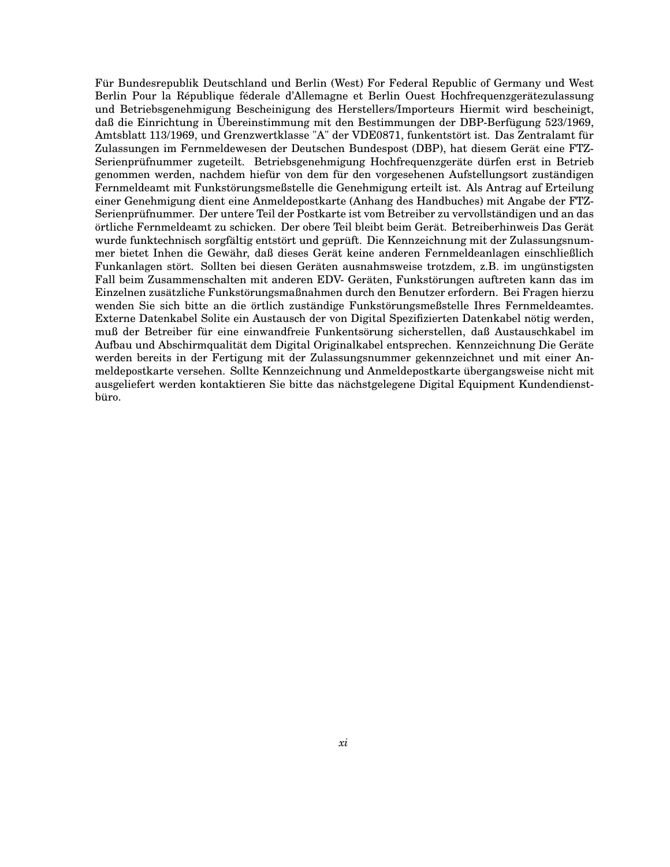Für Bundesrepublik Deutschland und Berlin (West) For Federal Republic of Germany und West Berlin Pour la République féderale d'Allemagne et Berlin Ouest Hochfrequenzgerätezulassung und Betriebsgenehmigung Bescheinigung des Herstellers/Importeurs Hiermit wird bescheinigt, daß die Einrichtung in Übereinstimmung mit den Bestimmungen der DBP-Berfügung 523/1969, Amtsblatt 113/1969, und Grenzwertklasse "A" der VDE0871, funkentstört ist. Das Zentralamt für Zulassungen im Fernmeldewesen der Deutschen Bundespost (DBP), hat diesem Gerät eine FTZ-Serienprüfnummer zugeteilt. Betriebsgenehmigung Hochfrequenzgeräte dürfen erst in Betrieb genommen werden, nachdem hiefür von dem für den vorgesehenen Aufstellungsort zuständigen Fernmeldeamt mit Funkstörungsmeßstelle die Genehmigung erteilt ist. Als Antrag auf Erteilung einer Genehmigung dient eine Anmeldepostkarte (Anhang des Handbuches) mit Angabe der FTZ-Serienprüfnummer. Der untere Teil der Postkarte ist vom Betreiber zu vervollständigen und an das örtliche Fernmeldeamt zu schicken. Der obere Teil bleibt beim Gerät. Betreiberhinweis Das Gerät wurde funktechnisch sorgfältig entstört und geprüft. Die Kennzeichnung mit der Zulassungsnummer bietet Inhen die Gewähr, daß dieses Gerät keine anderen Fernmeldeanlagen einschließlich Funkanlagen stört. Sollten bei diesen Geräten ausnahmsweise trotzdem, z.B. im ungünstigsten Fall beim Zusammenschalten mit anderen EDV- Geräten, Funkstörungen auftreten kann das im Einzelnen zusätzliche Funkstörungsmaßnahmen durch den Benutzer erfordern. Bei Fragen hierzu wenden Sie sich bitte an die örtlich zuständige Funkstörungsmeßstelle Ihres Fernmeldeamtes. Externe Datenkabel Solite ein Austausch der von Digital Spezifizierten Datenkabel nötig werden, muß der Betreiber für eine einwandfreie Funkentsörung sicherstellen, daß Austauschkabel im Aufbau und Abschirmqualität dem Digital Originalkabel entsprechen. Kennzeichnung Die Geräte werden bereits in der Fertigung mit der Zulassungsnummer gekennzeichnet und mit einer Anmeldepostkarte versehen. Sollte Kennzeichnung und Anmeldepostkarte übergangsweise nicht mit ausgeliefert werden kontaktieren Sie bitte das nächstgelegene Digital Equipment Kundendienstbüro.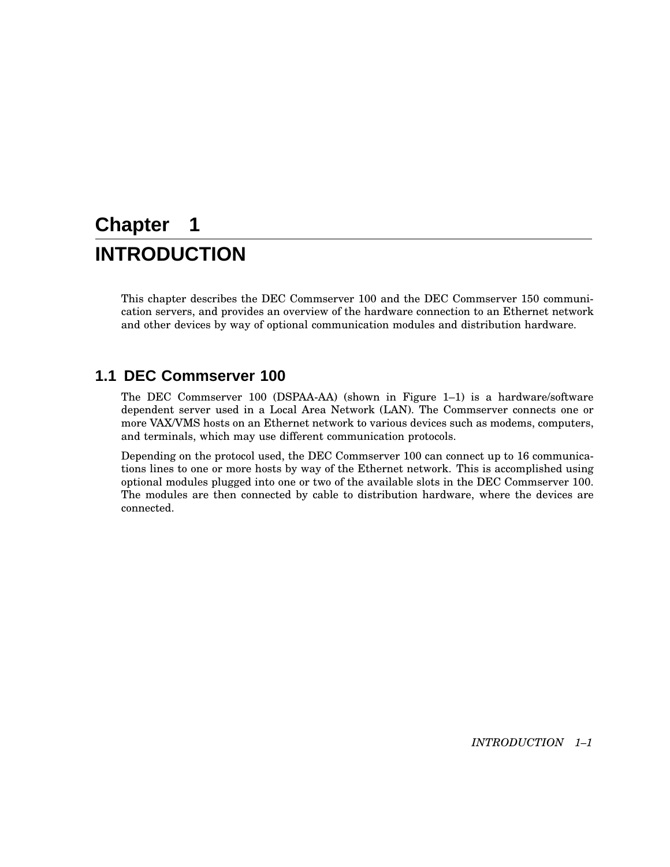# **Chapter 1 INTRODUCTION**

This chapter describes the DEC Commserver 100 and the DEC Commserver 150 communication servers, and provides an overview of the hardware connection to an Ethernet network and other devices by way of optional communication modules and distribution hardware.

## **1.1 DEC Commserver 100**

The DEC Commserver 100 (DSPAA-AA) (shown in Figure 1–1) is a hardware/software dependent server used in a Local Area Network (LAN). The Commserver connects one or more VAX/VMS hosts on an Ethernet network to various devices such as modems, computers, and terminals, which may use different communication protocols.

Depending on the protocol used, the DEC Commserver 100 can connect up to 16 communications lines to one or more hosts by way of the Ethernet network. This is accomplished using optional modules plugged into one or two of the available slots in the DEC Commserver 100. The modules are then connected by cable to distribution hardware, where the devices are connected.

*INTRODUCTION 1–1*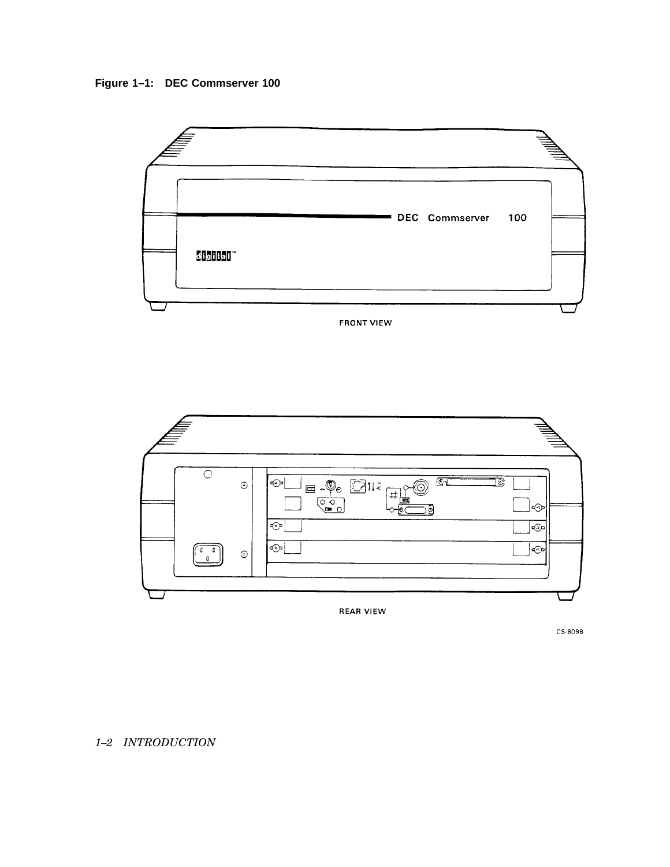



**FRONT VIEW** 



CS-8098

### *1–2 INTRODUCTION*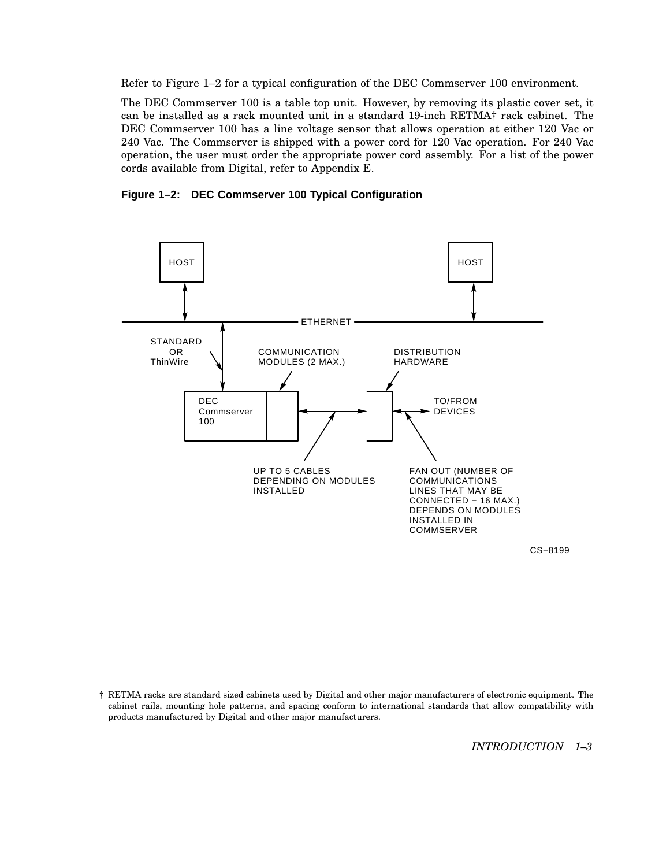Refer to Figure 1–2 for a typical configuration of the DEC Commserver 100 environment.

The DEC Commserver 100 is a table top unit. However, by removing its plastic cover set, it can be installed as a rack mounted unit in a standard 19-inch RETMA† rack cabinet. The DEC Commserver 100 has a line voltage sensor that allows operation at either 120 Vac or 240 Vac. The Commserver is shipped with a power cord for 120 Vac operation. For 240 Vac operation, the user must order the appropriate power cord assembly. For a list of the power cords available from Digital, refer to Appendix E.





CS−8199

<sup>†</sup> RETMA racks are standard sized cabinets used by Digital and other major manufacturers of electronic equipment. The cabinet rails, mounting hole patterns, and spacing conform to international standards that allow compatibility with products manufactured by Digital and other major manufacturers.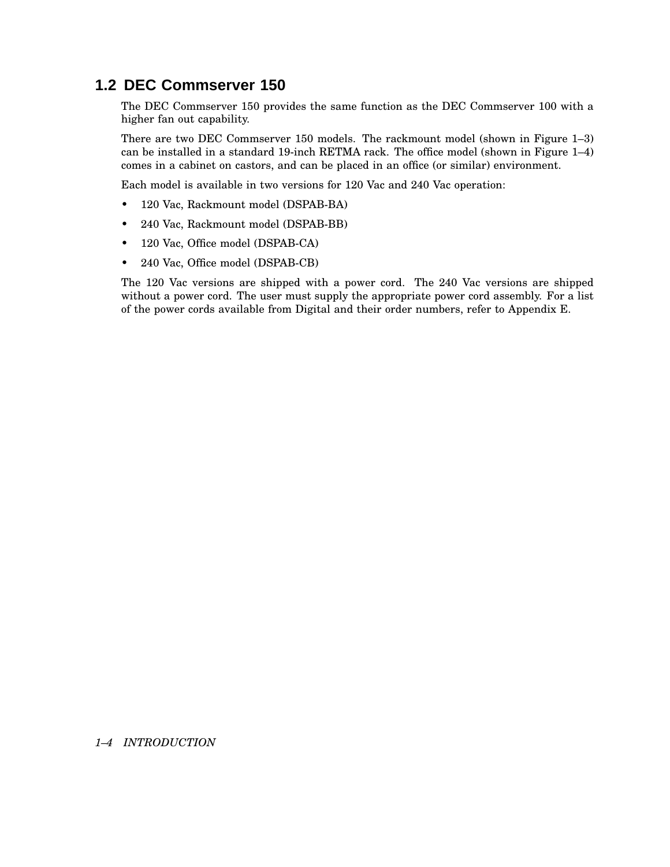## **1.2 DEC Commserver 150**

The DEC Commserver 150 provides the same function as the DEC Commserver 100 with a higher fan out capability.

There are two DEC Commserver 150 models. The rackmount model (shown in Figure 1–3) can be installed in a standard 19-inch RETMA rack. The office model (shown in Figure 1–4) comes in a cabinet on castors, and can be placed in an office (or similar) environment.

Each model is available in two versions for 120 Vac and 240 Vac operation:

- 120 Vac, Rackmount model (DSPAB-BA)
- 240 Vac, Rackmount model (DSPAB-BB)
- 120 Vac, Office model (DSPAB-CA)
- 240 Vac, Office model (DSPAB-CB)

The 120 Vac versions are shipped with a power cord. The 240 Vac versions are shipped without a power cord. The user must supply the appropriate power cord assembly. For a list of the power cords available from Digital and their order numbers, refer to Appendix E.

#### *1–4 INTRODUCTION*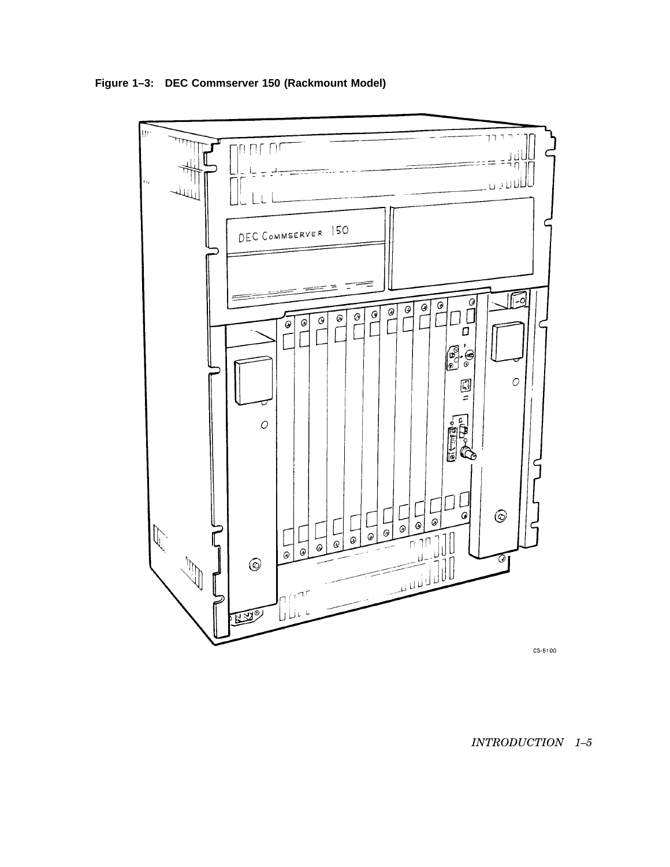**Figure 1–3: DEC Commserver 150 (Rackmount Model)**



### *INTRODUCTION 1–5*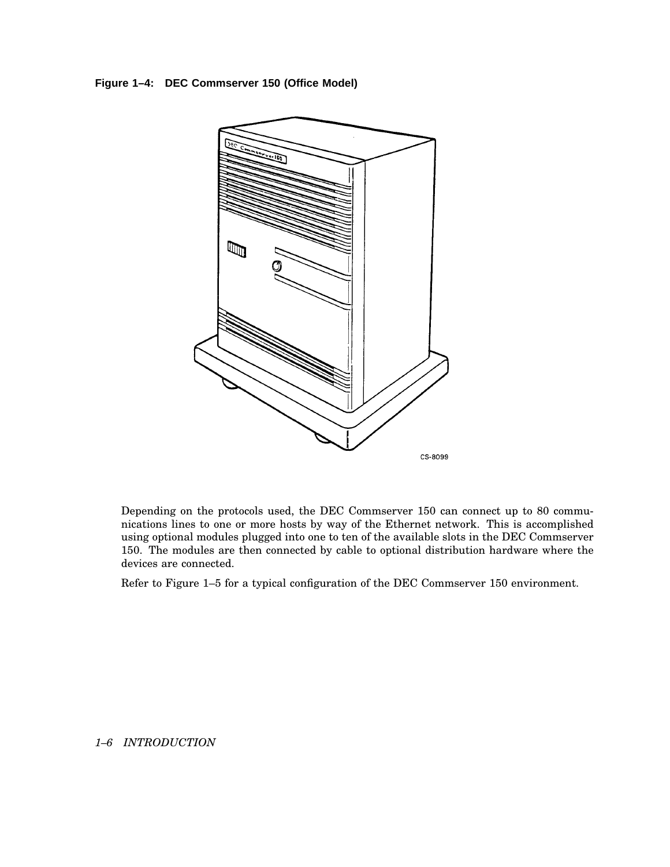**Figure 1–4: DEC Commserver 150 (Office Model)**



Depending on the protocols used, the DEC Commserver 150 can connect up to 80 communications lines to one or more hosts by way of the Ethernet network. This is accomplished using optional modules plugged into one to ten of the available slots in the DEC Commserver 150. The modules are then connected by cable to optional distribution hardware where the devices are connected.

Refer to Figure 1–5 for a typical configuration of the DEC Commserver 150 environment.

#### *1–6 INTRODUCTION*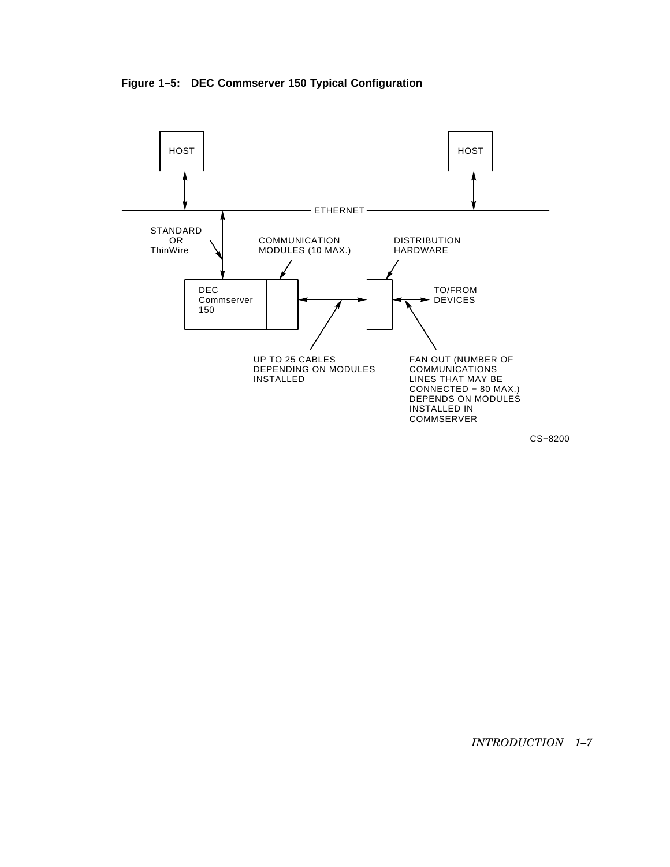**Figure 1–5: DEC Commserver 150 Typical Configuration**



CS−8200

*INTRODUCTION 1–7*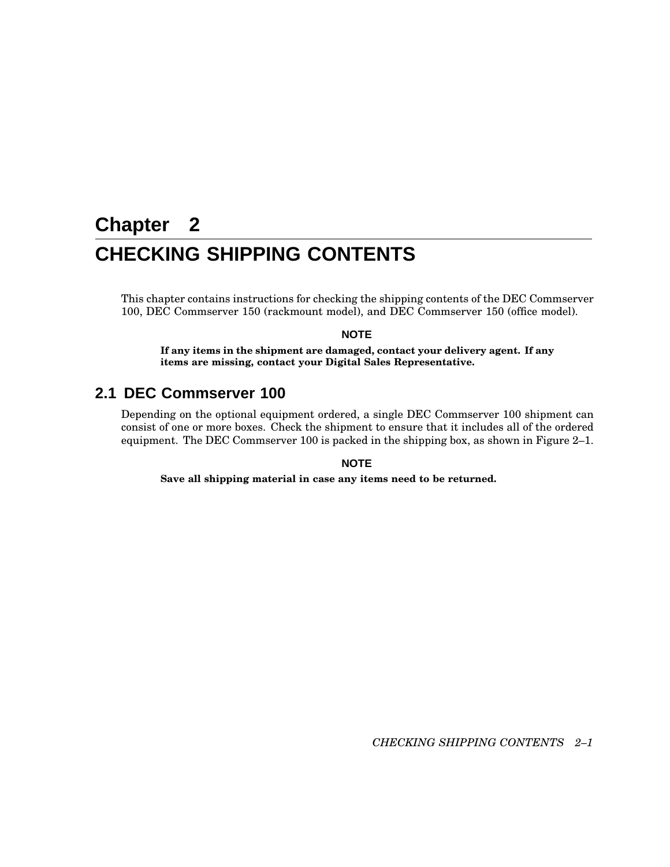# **Chapter 2 CHECKING SHIPPING CONTENTS**

This chapter contains instructions for checking the shipping contents of the DEC Commserver 100, DEC Commserver 150 (rackmount model), and DEC Commserver 150 (office model).

#### **NOTE**

**If any items in the shipment are damaged, contact your delivery agent. If any items are missing, contact your Digital Sales Representative.**

## **2.1 DEC Commserver 100**

Depending on the optional equipment ordered, a single DEC Commserver 100 shipment can consist of one or more boxes. Check the shipment to ensure that it includes all of the ordered equipment. The DEC Commserver 100 is packed in the shipping box, as shown in Figure 2–1.

#### **NOTE**

**Save all shipping material in case any items need to be returned.**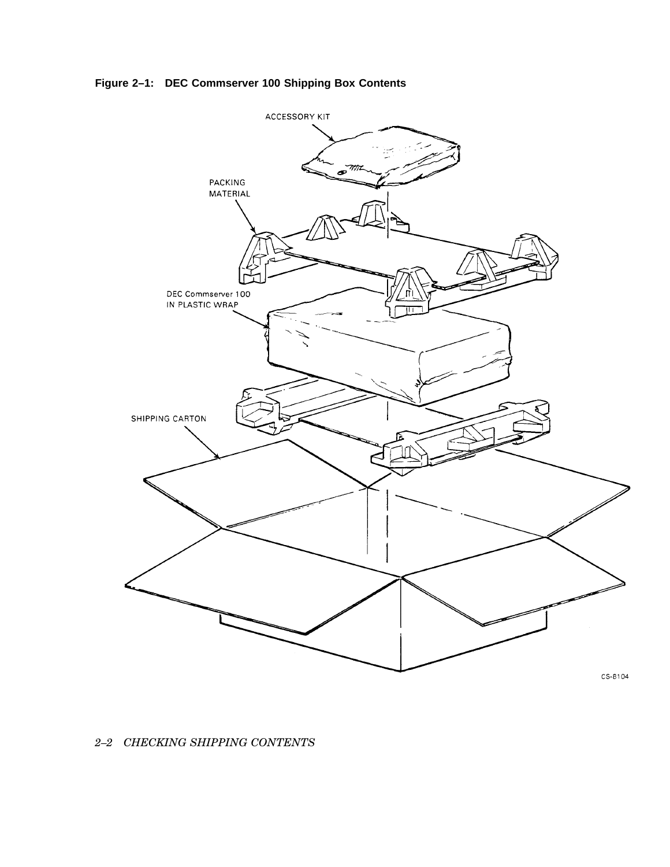**Figure 2–1: DEC Commserver 100 Shipping Box Contents**



*2–2 CHECKING SHIPPING CONTENTS*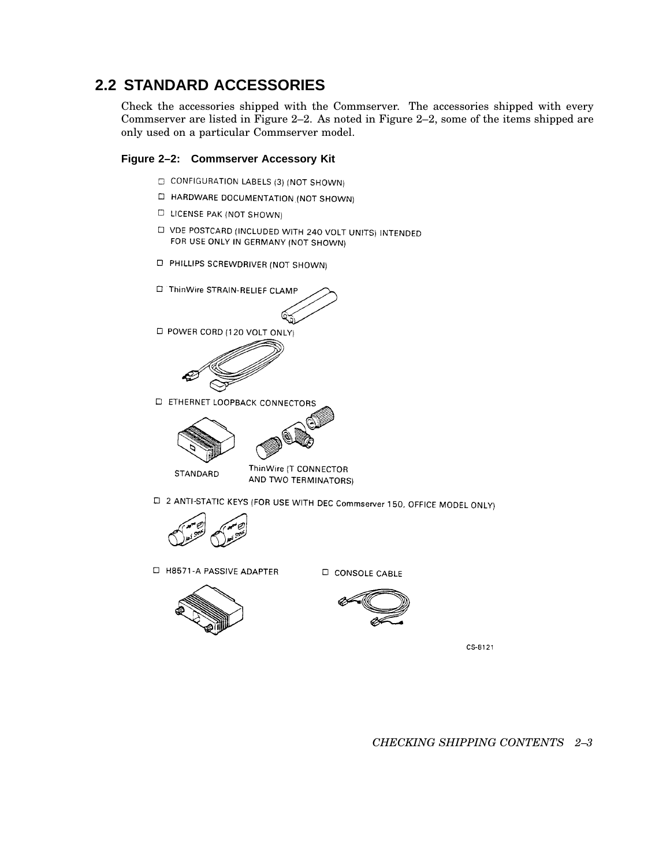## **2.2 STANDARD ACCESSORIES**

Check the accessories shipped with the Commserver. The accessories shipped with every Commserver are listed in Figure 2–2. As noted in Figure 2–2, some of the items shipped are only used on a particular Commserver model.

#### **Figure 2–2: Commserver Accessory Kit**

- CONFIGURATION LABELS (3) (NOT SHOWN)
- □ HARDWARE DOCUMENTATION.(NOT SHOWN)
- **LICENSE PAK (NOT SHOWN)**
- D VDE POSTCARD (INCLUDED WITH 240 VOLT UNITS) INTENDED FOR USE ONLY IN GERMANY (NOT SHOWN)
- **D** PHILLIPS SCREWDRIVER (NOT SHOWN)
- ThinWire STRAIN-RELIEF CLAMP



D POWER CORD (120 VOLT ONLY)



**D** ETHERNET LOOPBACK CONNECTORS



STANDARD



ThinWire (T CONNECTOR AND TWO TERMINATORS)

□ 2 ANTI-STATIC KEYS (FOR USE WITH DEC Commserver 150, OFFICE MODEL ONLY)



□ H8571-A PASSIVE ADAPTER



**D** CONSOLE CABLE



CS-8121

*CHECKING SHIPPING CONTENTS 2–3*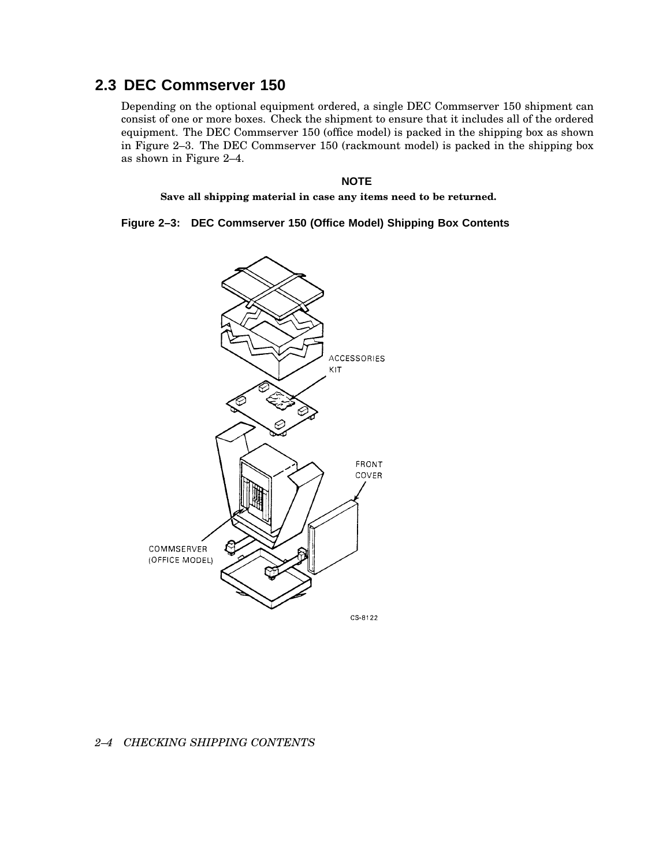## **2.3 DEC Commserver 150**

Depending on the optional equipment ordered, a single DEC Commserver 150 shipment can consist of one or more boxes. Check the shipment to ensure that it includes all of the ordered equipment. The DEC Commserver 150 (office model) is packed in the shipping box as shown in Figure 2–3. The DEC Commserver 150 (rackmount model) is packed in the shipping box as shown in Figure 2–4.

#### **NOTE**

**Save all shipping material in case any items need to be returned.**

**Figure 2–3: DEC Commserver 150 (Office Model) Shipping Box Contents**



#### *2–4 CHECKING SHIPPING CONTENTS*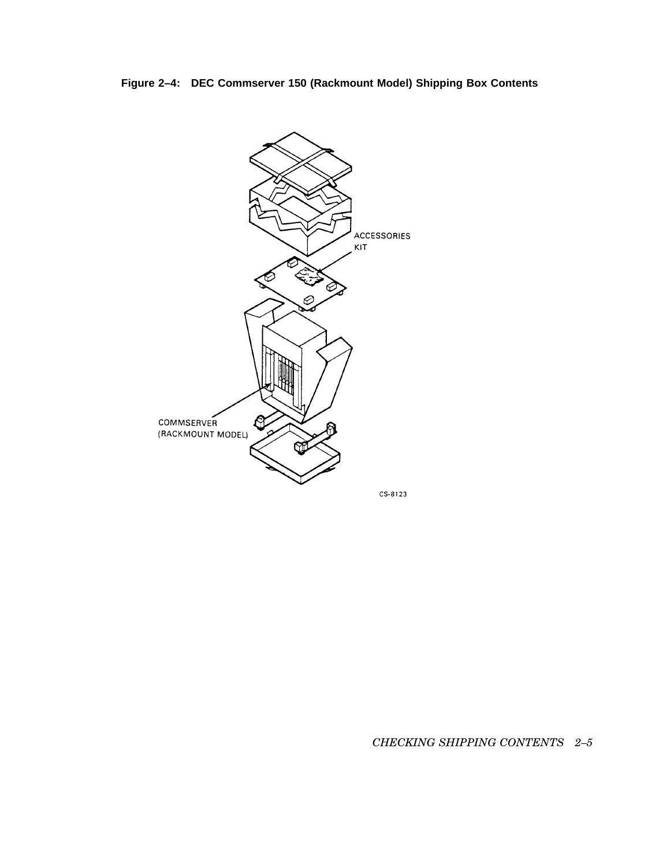**Figure 2–4: DEC Commserver 150 (Rackmount Model) Shipping Box Contents**



*CHECKING SHIPPING CONTENTS 2–5*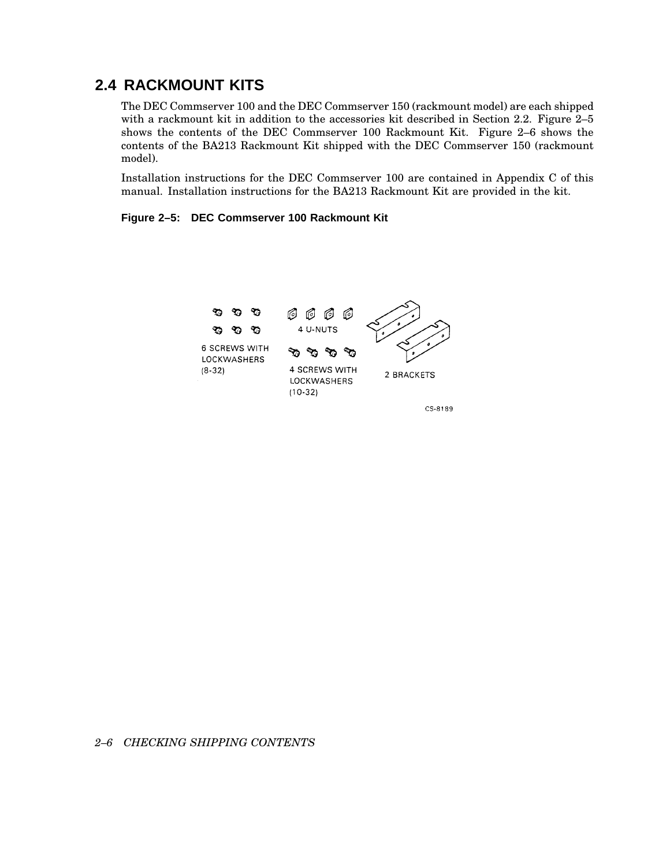## **2.4 RACKMOUNT KITS**

The DEC Commserver 100 and the DEC Commserver 150 (rackmount model) are each shipped with a rackmount kit in addition to the accessories kit described in Section 2.2. Figure 2–5 shows the contents of the DEC Commserver 100 Rackmount Kit. Figure 2–6 shows the contents of the BA213 Rackmount Kit shipped with the DEC Commserver 150 (rackmount model).

Installation instructions for the DEC Commserver 100 are contained in Appendix C of this manual. Installation instructions for the BA213 Rackmount Kit are provided in the kit.

**Figure 2–5: DEC Commserver 100 Rackmount Kit**



CS-8189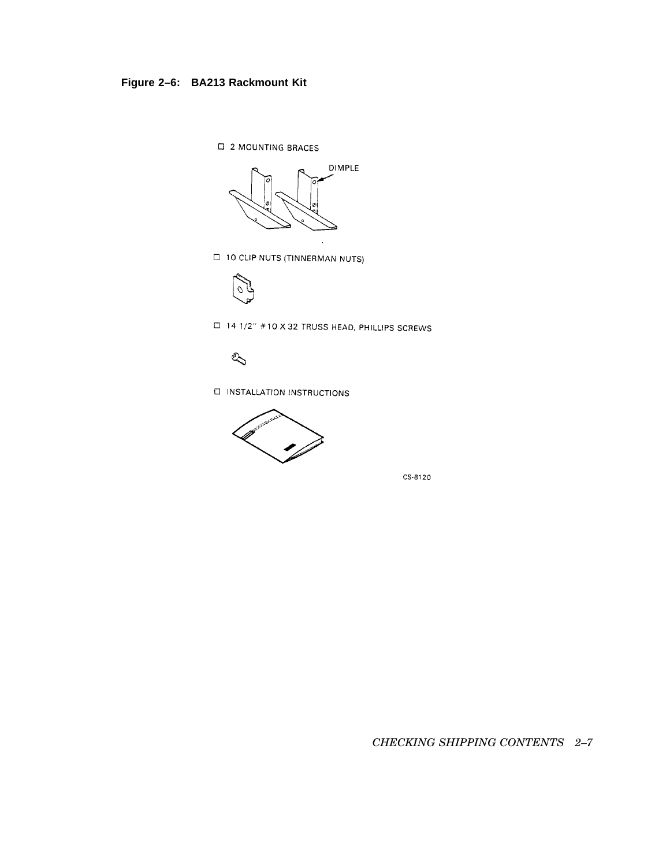## **Figure 2–6: BA213 Rackmount Kit**

**EI 2 MOUNTING BRACES** 



**D** 10 CLIP NUTS (TINNERMAN NUTS)



□ 14 1/2" #10 X 32 TRUSS HEAD, PHILLIPS SCREWS



**EI INSTALLATION INSTRUCTIONS** 



CS-8120

*CHECKING SHIPPING CONTENTS 2–7*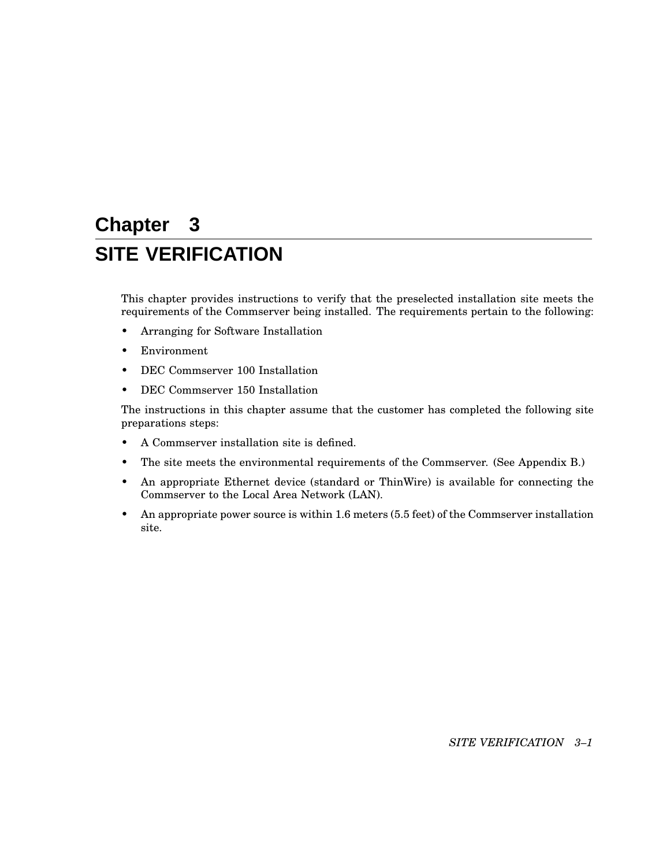# **Chapter 3 SITE VERIFICATION**

This chapter provides instructions to verify that the preselected installation site meets the requirements of the Commserver being installed. The requirements pertain to the following:

- Arranging for Software Installation
- Environment
- DEC Commserver 100 Installation
- DEC Commserver 150 Installation

The instructions in this chapter assume that the customer has completed the following site preparations steps:

- A Commserver installation site is defined.
- The site meets the environmental requirements of the Commserver. (See Appendix B.)
- An appropriate Ethernet device (standard or ThinWire) is available for connecting the Commserver to the Local Area Network (LAN).
- An appropriate power source is within 1.6 meters (5.5 feet) of the Commserver installation site.

*SITE VERIFICATION 3–1*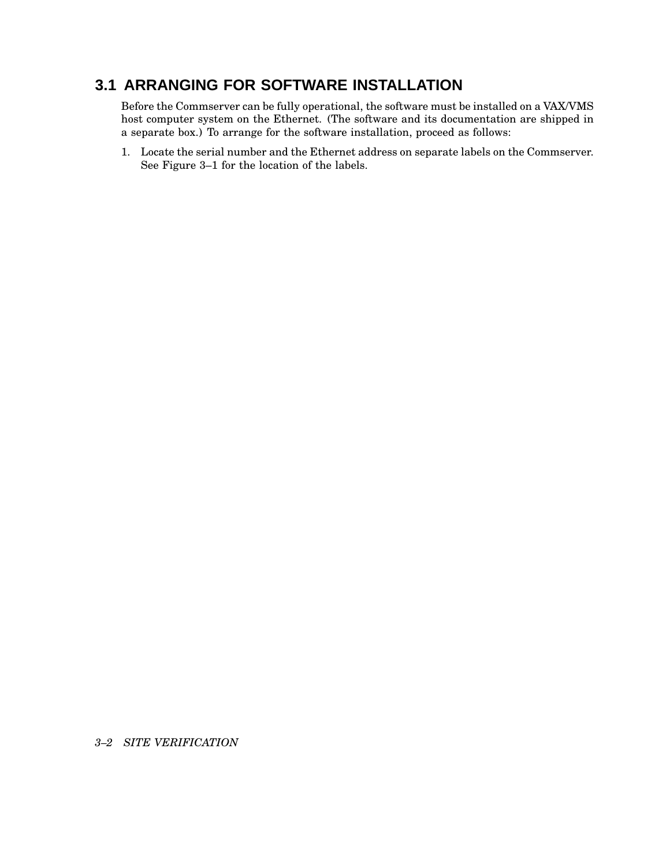## **3.1 ARRANGING FOR SOFTWARE INSTALLATION**

Before the Commserver can be fully operational, the software must be installed on a VAX/VMS host computer system on the Ethernet. (The software and its documentation are shipped in a separate box.) To arrange for the software installation, proceed as follows:

1. Locate the serial number and the Ethernet address on separate labels on the Commserver. See Figure 3–1 for the location of the labels.

*3–2 SITE VERIFICATION*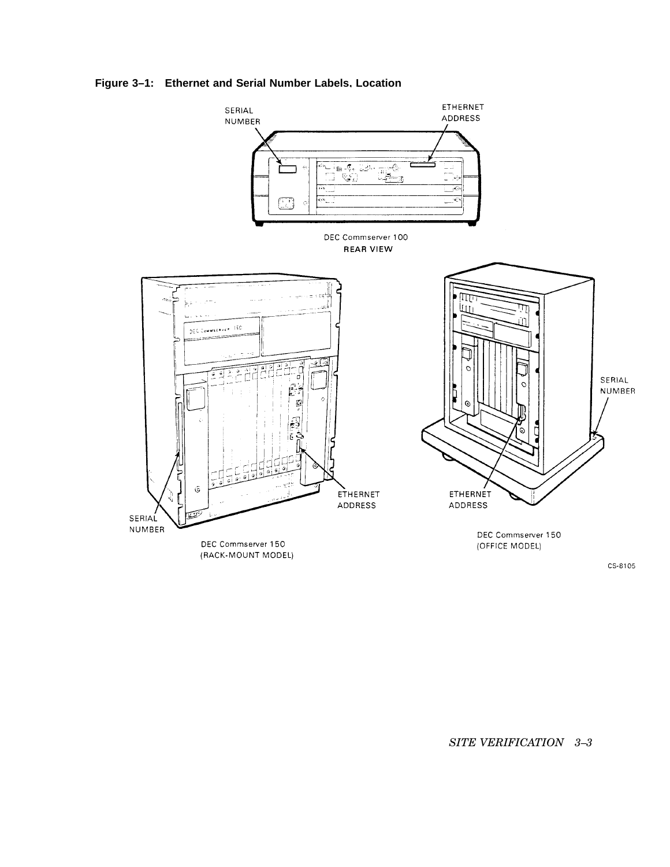### **Figure 3–1: Ethernet and Serial Number Labels, Location**



CS-8105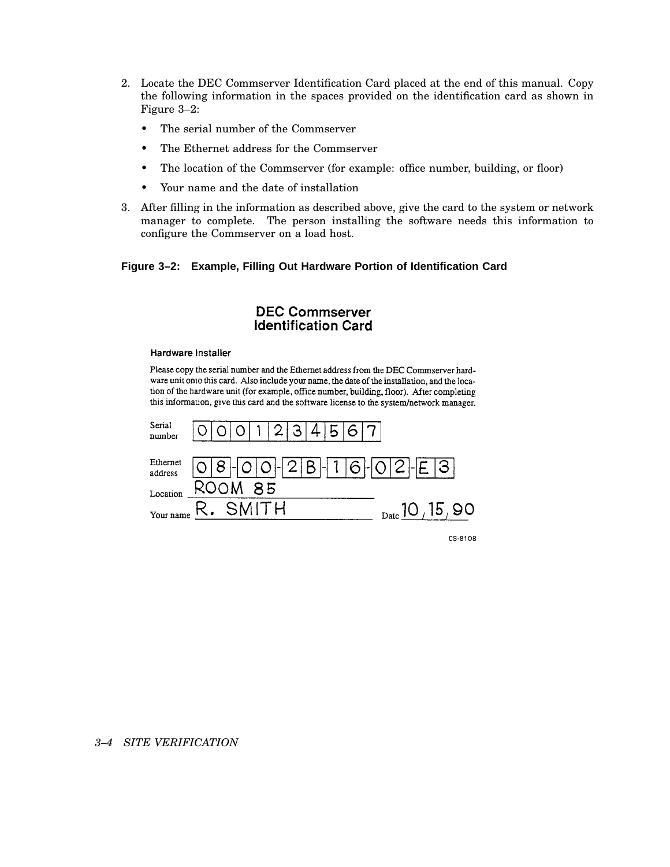- 2. Locate the DEC Commserver Identification Card placed at the end of this manual. Copy the following information in the spaces provided on the identification card as shown in Figure 3–2:
	- The serial number of the Commserver
	- The Ethernet address for the Commserver
	- The location of the Commserver (for example: office number, building, or floor)
	- Your name and the date of installation
- 3. After filling in the information as described above, give the card to the system or network manager to complete. The person installing the software needs this information to configure the Commserver on a load host.

#### **Figure 3–2: Example, Filling Out Hardware Portion of Identification Card**

#### **DEC Commserver Identification Card**

#### **Hardware Installer**

Please copy the serial number and the Ethernet address from the DEC Commserver hardware unit onto this card. Also include your name, the date of the installation, and the location of the hardware unit (for example, office number, building, floor). After completing this information, give this card and the software license to the system/network manager.

| Serial<br>number    | $\overline{2}$<br>. 31 |                               |
|---------------------|------------------------|-------------------------------|
| Ethernet<br>address | 8 0 0 1 2 8 1 1 6 1 0  | $ 2 $ - $ F $                 |
| Location            | ROOM 85                |                               |
| Your name           | R. SMITH               | $_{\text{Date}}$ 10 , 15 , 90 |

CS-8108

*3–4 SITE VERIFICATION*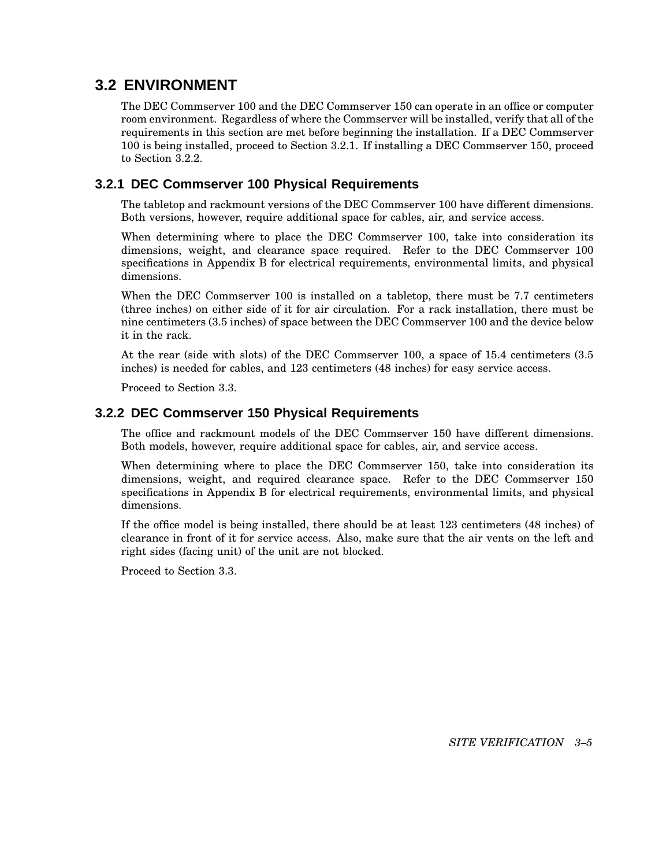## **3.2 ENVIRONMENT**

The DEC Commserver 100 and the DEC Commserver 150 can operate in an office or computer room environment. Regardless of where the Commserver will be installed, verify that all of the requirements in this section are met before beginning the installation. If a DEC Commserver 100 is being installed, proceed to Section 3.2.1. If installing a DEC Commserver 150, proceed to Section 3.2.2.

### **3.2.1 DEC Commserver 100 Physical Requirements**

The tabletop and rackmount versions of the DEC Commserver 100 have different dimensions. Both versions, however, require additional space for cables, air, and service access.

When determining where to place the DEC Commserver 100, take into consideration its dimensions, weight, and clearance space required. Refer to the DEC Commserver 100 specifications in Appendix B for electrical requirements, environmental limits, and physical dimensions.

When the DEC Commserver 100 is installed on a tabletop, there must be 7.7 centimeters (three inches) on either side of it for air circulation. For a rack installation, there must be nine centimeters (3.5 inches) of space between the DEC Commserver 100 and the device below it in the rack.

At the rear (side with slots) of the DEC Commserver 100, a space of 15.4 centimeters (3.5 inches) is needed for cables, and 123 centimeters (48 inches) for easy service access.

Proceed to Section 3.3.

#### **3.2.2 DEC Commserver 150 Physical Requirements**

The office and rackmount models of the DEC Commserver 150 have different dimensions. Both models, however, require additional space for cables, air, and service access.

When determining where to place the DEC Commserver 150, take into consideration its dimensions, weight, and required clearance space. Refer to the DEC Commserver 150 specifications in Appendix B for electrical requirements, environmental limits, and physical dimensions.

If the office model is being installed, there should be at least 123 centimeters (48 inches) of clearance in front of it for service access. Also, make sure that the air vents on the left and right sides (facing unit) of the unit are not blocked.

Proceed to Section 3.3.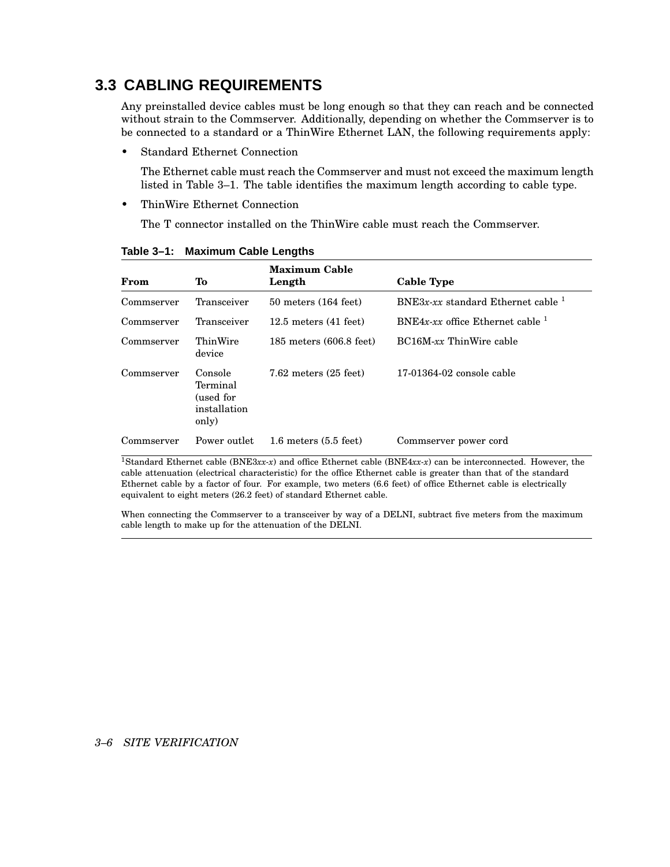## **3.3 CABLING REQUIREMENTS**

Any preinstalled device cables must be long enough so that they can reach and be connected without strain to the Commserver. Additionally, depending on whether the Commserver is to be connected to a standard or a ThinWire Ethernet LAN, the following requirements apply:

• Standard Ethernet Connection

The Ethernet cable must reach the Commserver and must not exceed the maximum length listed in Table 3–1. The table identifies the maximum length according to cable type.

• ThinWire Ethernet Connection

The T connector installed on the ThinWire cable must reach the Commserver.

| From       | Tо                                                        | <b>Maximum Cable</b><br>Length      | <b>Cable Type</b>                    |
|------------|-----------------------------------------------------------|-------------------------------------|--------------------------------------|
| Commserver | Transceiver                                               | $50$ meters $(164$ feet)            | BNE3x-xx standard Ethernet cable $1$ |
| Commserver | Transceiver                                               | $12.5$ meters $(41$ feet)           | BNE4x-xx office Ethernet cable $1$   |
| Commserver | ThinWire<br>device                                        | $185$ meters $(606.8 \text{ feet})$ | BC16M-xx ThinWire cable              |
| Commserver | Console<br>Terminal<br>(used for<br>installation<br>only) | $7.62$ meters $(25$ feet)           | 17-01364-02 console cable            |
| Commserver | Power outlet                                              | $1.6$ meters $(5.5$ feet)           | Commserver power cord                |

**Table 3–1: Maximum Cable Lengths**

<sup>1</sup>Standard Ethernet cable (BNE3*xx-x*) and office Ethernet cable (BNE4*xx-x*) can be interconnected. However, the cable attenuation (electrical characteristic) for the office Ethernet cable is greater than that of the standard Ethernet cable by a factor of four. For example, two meters (6.6 feet) of office Ethernet cable is electrically equivalent to eight meters (26.2 feet) of standard Ethernet cable.

When connecting the Commserver to a transceiver by way of a DELNI, subtract five meters from the maximum cable length to make up for the attenuation of the DELNI.

#### *3–6 SITE VERIFICATION*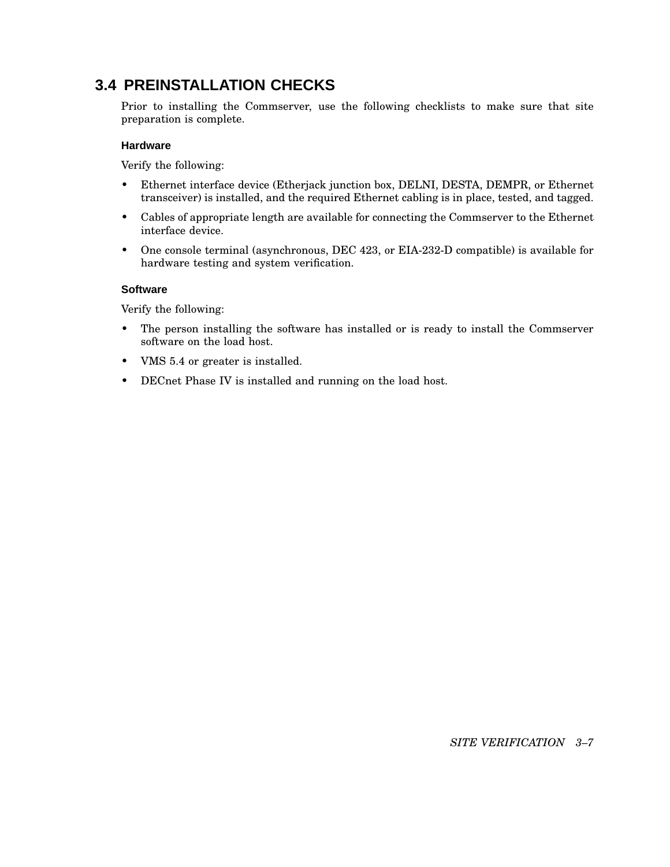## **3.4 PREINSTALLATION CHECKS**

Prior to installing the Commserver, use the following checklists to make sure that site preparation is complete.

#### **Hardware**

Verify the following:

- Ethernet interface device (Etherjack junction box, DELNI, DESTA, DEMPR, or Ethernet transceiver) is installed, and the required Ethernet cabling is in place, tested, and tagged.
- Cables of appropriate length are available for connecting the Commserver to the Ethernet interface device.
- One console terminal (asynchronous, DEC 423, or EIA-232-D compatible) is available for hardware testing and system verification.

#### **Software**

Verify the following:

- The person installing the software has installed or is ready to install the Commserver software on the load host.
- VMS 5.4 or greater is installed.
- DECnet Phase IV is installed and running on the load host.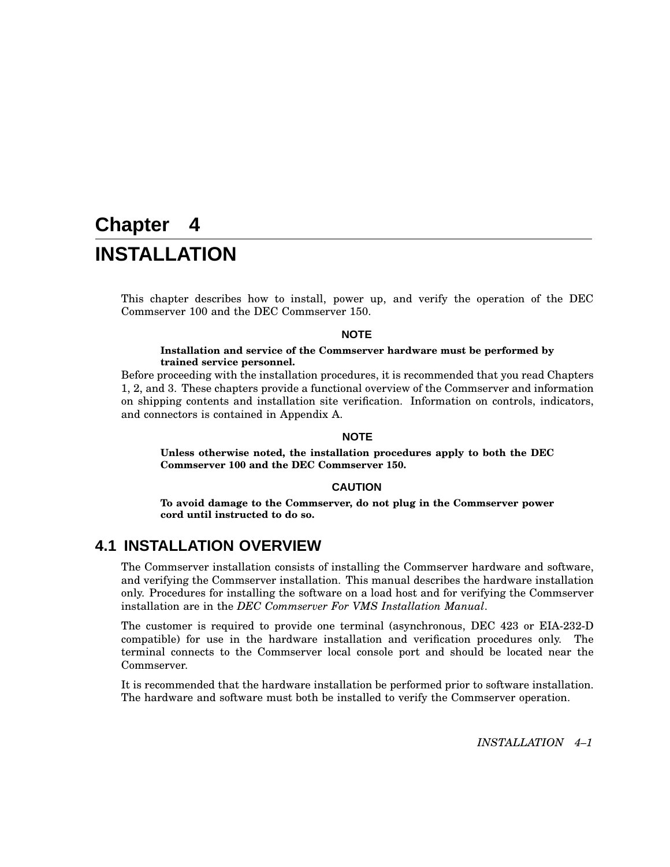# **Chapter 4 INSTALLATION**

This chapter describes how to install, power up, and verify the operation of the DEC Commserver 100 and the DEC Commserver 150.

#### **NOTE**

#### **Installation and service of the Commserver hardware must be performed by trained service personnel.**

Before proceeding with the installation procedures, it is recommended that you read Chapters 1, 2, and 3. These chapters provide a functional overview of the Commserver and information on shipping contents and installation site verification. Information on controls, indicators, and connectors is contained in Appendix A.

#### **NOTE**

**Unless otherwise noted, the installation procedures apply to both the DEC Commserver 100 and the DEC Commserver 150.**

#### **CAUTION**

**To avoid damage to the Commserver, do not plug in the Commserver power cord until instructed to do so.**

## **4.1 INSTALLATION OVERVIEW**

The Commserver installation consists of installing the Commserver hardware and software, and verifying the Commserver installation. This manual describes the hardware installation only. Procedures for installing the software on a load host and for verifying the Commserver installation are in the *DEC Commserver For VMS Installation Manual*.

The customer is required to provide one terminal (asynchronous, DEC 423 or EIA-232-D compatible) for use in the hardware installation and verification procedures only. The terminal connects to the Commserver local console port and should be located near the Commserver.

It is recommended that the hardware installation be performed prior to software installation. The hardware and software must both be installed to verify the Commserver operation.

*INSTALLATION 4–1*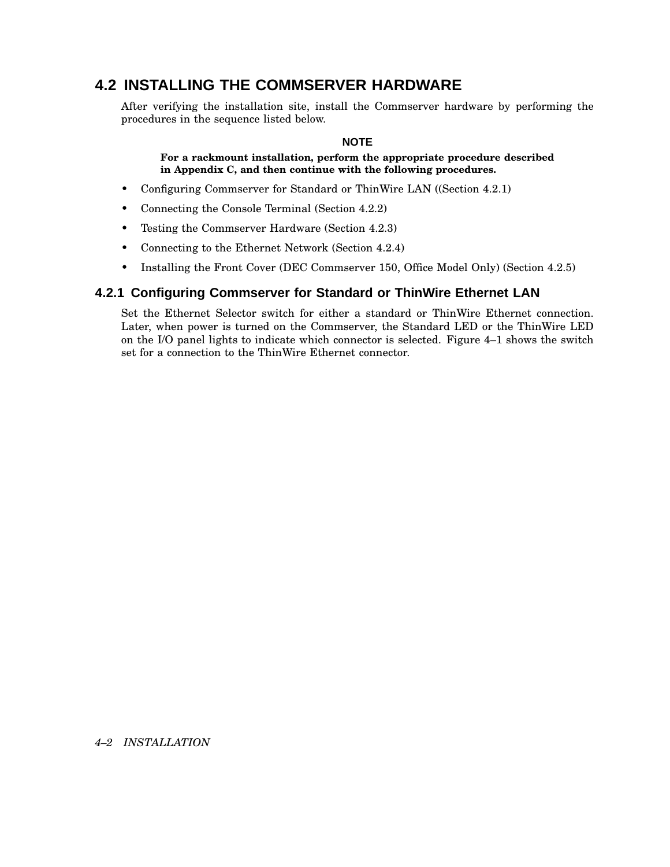## **4.2 INSTALLING THE COMMSERVER HARDWARE**

After verifying the installation site, install the Commserver hardware by performing the procedures in the sequence listed below.

#### **NOTE**

#### **For a rackmount installation, perform the appropriate procedure described in Appendix C, and then continue with the following procedures.**

- Configuring Commserver for Standard or ThinWire LAN ((Section 4.2.1)
- Connecting the Console Terminal (Section 4.2.2)
- Testing the Commserver Hardware (Section 4.2.3)
- Connecting to the Ethernet Network (Section 4.2.4)
- Installing the Front Cover (DEC Commserver 150, Office Model Only) (Section 4.2.5)

#### **4.2.1 Configuring Commserver for Standard or ThinWire Ethernet LAN**

Set the Ethernet Selector switch for either a standard or ThinWire Ethernet connection. Later, when power is turned on the Commserver, the Standard LED or the ThinWire LED on the I/O panel lights to indicate which connector is selected. Figure 4–1 shows the switch set for a connection to the ThinWire Ethernet connector.

#### *4–2 INSTALLATION*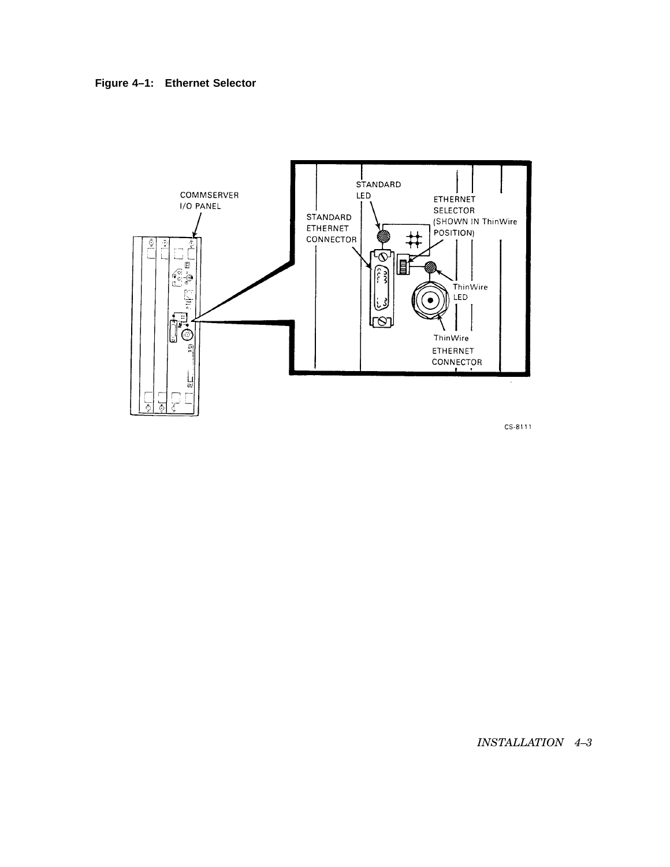![](_page_34_Figure_0.jpeg)

![](_page_34_Figure_1.jpeg)

CS-8111

*INSTALLATION 4–3*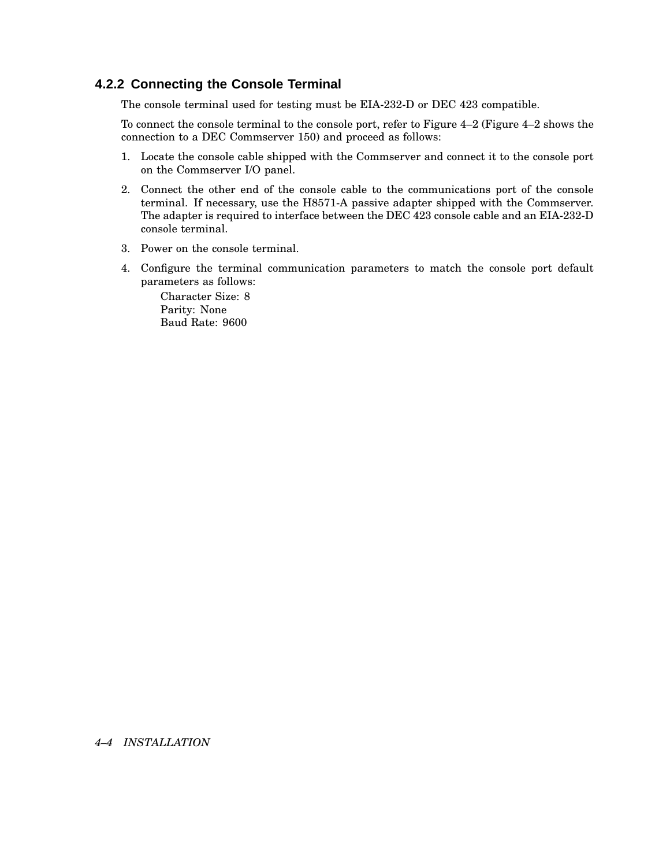#### **4.2.2 Connecting the Console Terminal**

The console terminal used for testing must be EIA-232-D or DEC 423 compatible.

To connect the console terminal to the console port, refer to Figure 4–2 (Figure 4–2 shows the connection to a DEC Commserver 150) and proceed as follows:

- 1. Locate the console cable shipped with the Commserver and connect it to the console port on the Commserver I/O panel.
- 2. Connect the other end of the console cable to the communications port of the console terminal. If necessary, use the H8571-A passive adapter shipped with the Commserver. The adapter is required to interface between the DEC 423 console cable and an EIA-232-D console terminal.
- 3. Power on the console terminal.
- 4. Configure the terminal communication parameters to match the console port default parameters as follows:

Character Size: 8 Parity: None Baud Rate: 9600

#### *4–4 INSTALLATION*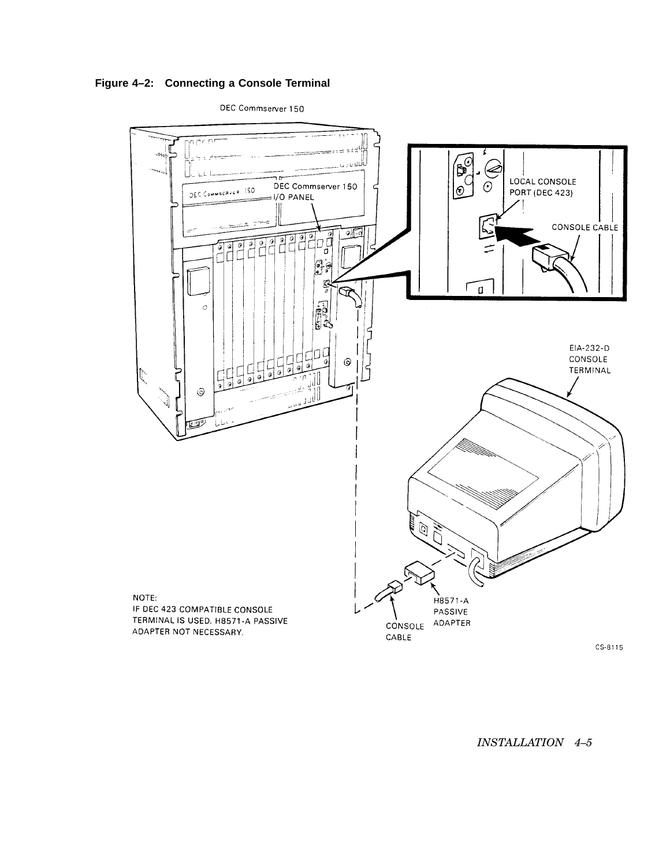**Figure 4–2: Connecting a Console Terminal**

DEC Commserver 150



*INSTALLATION 4–5*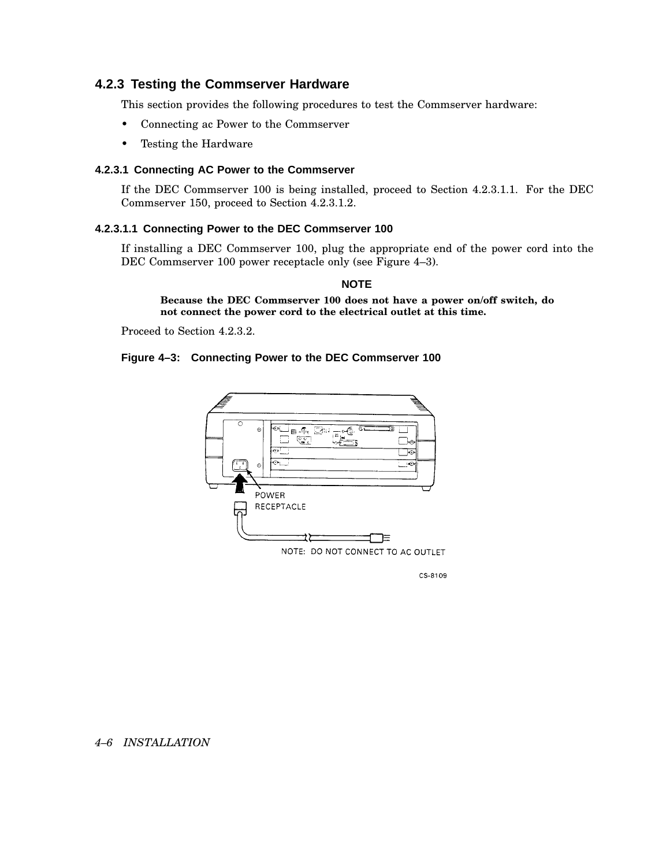## **4.2.3 Testing the Commserver Hardware**

This section provides the following procedures to test the Commserver hardware:

- Connecting ac Power to the Commserver
- Testing the Hardware

### **4.2.3.1 Connecting AC Power to the Commserver**

If the DEC Commserver 100 is being installed, proceed to Section 4.2.3.1.1. For the DEC Commserver 150, proceed to Section 4.2.3.1.2.

## **4.2.3.1.1 Connecting Power to the DEC Commserver 100**

If installing a DEC Commserver 100, plug the appropriate end of the power cord into the DEC Commserver 100 power receptacle only (see Figure 4–3).

## **NOTE**

**Because the DEC Commserver 100 does not have a power on/off switch, do not connect the power cord to the electrical outlet at this time.**

Proceed to Section 4.2.3.2.

#### **Figure 4–3: Connecting Power to the DEC Commserver 100**



CS-8109

## *4–6 INSTALLATION*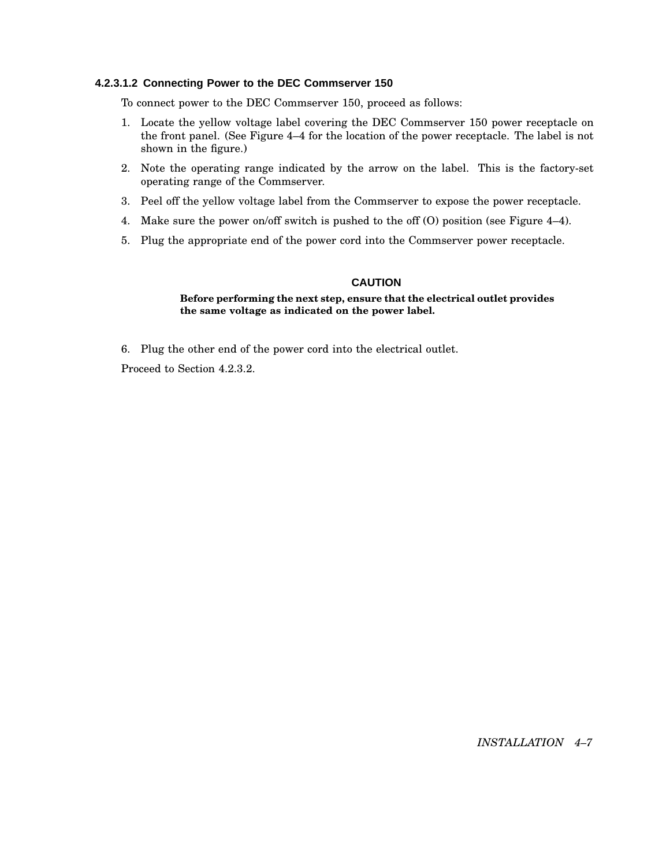### **4.2.3.1.2 Connecting Power to the DEC Commserver 150**

To connect power to the DEC Commserver 150, proceed as follows:

- 1. Locate the yellow voltage label covering the DEC Commserver 150 power receptacle on the front panel. (See Figure 4–4 for the location of the power receptacle. The label is not shown in the figure.)
- 2. Note the operating range indicated by the arrow on the label. This is the factory-set operating range of the Commserver.
- 3. Peel off the yellow voltage label from the Commserver to expose the power receptacle.
- 4. Make sure the power on/off switch is pushed to the off (O) position (see Figure 4–4).
- 5. Plug the appropriate end of the power cord into the Commserver power receptacle.

## **CAUTION**

#### **Before performing the next step, ensure that the electrical outlet provides the same voltage as indicated on the power label.**

6. Plug the other end of the power cord into the electrical outlet.

Proceed to Section 4.2.3.2.

*INSTALLATION 4–7*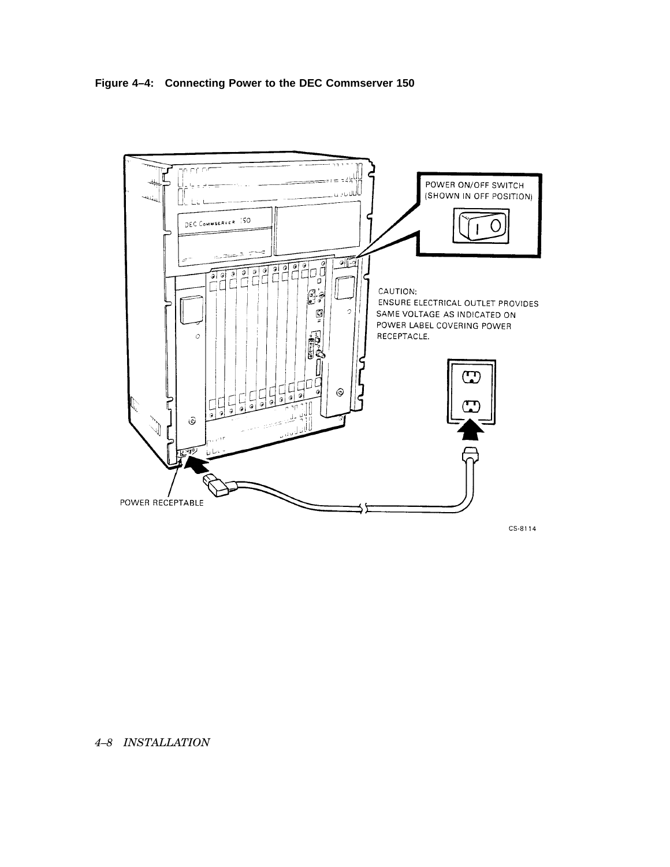**Figure 4–4: Connecting Power to the DEC Commserver 150**



## *4–8 INSTALLATION*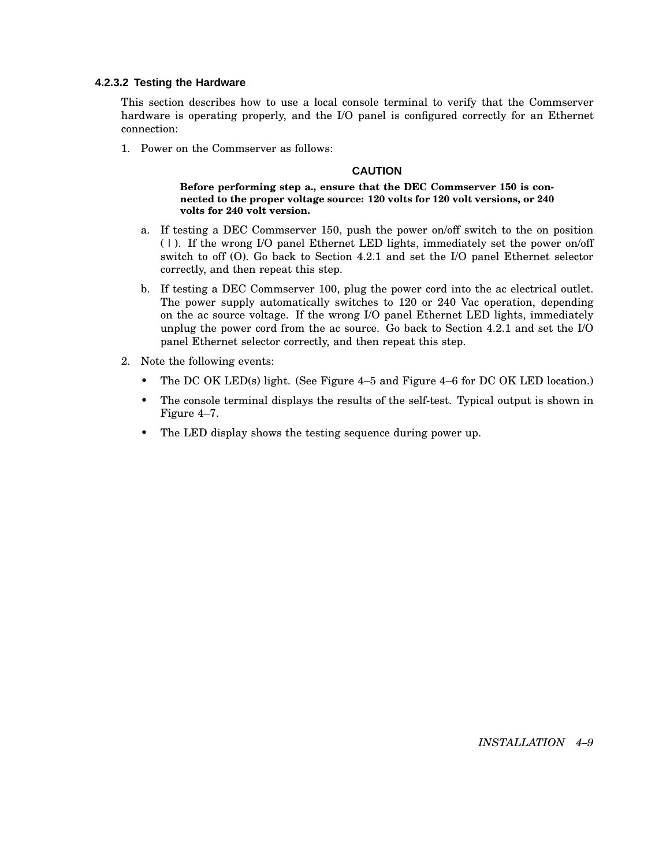## **4.2.3.2 Testing the Hardware**

This section describes how to use a local console terminal to verify that the Commserver hardware is operating properly, and the I/O panel is configured correctly for an Ethernet connection:

1. Power on the Commserver as follows:

#### **CAUTION**

**Before performing step a., ensure that the DEC Commserver 150 is connected to the proper voltage source: 120 volts for 120 volt versions, or 240 volts for 240 volt version.**

- a. If testing a DEC Commserver 150, push the power on/off switch to the on position ( | ). If the wrong I/O panel Ethernet LED lights, immediately set the power on/off switch to off (O). Go back to Section 4.2.1 and set the I/O panel Ethernet selector correctly, and then repeat this step.
- b. If testing a DEC Commserver 100, plug the power cord into the ac electrical outlet. The power supply automatically switches to 120 or 240 Vac operation, depending on the ac source voltage. If the wrong I/O panel Ethernet LED lights, immediately unplug the power cord from the ac source. Go back to Section 4.2.1 and set the I/O panel Ethernet selector correctly, and then repeat this step.
- 2. Note the following events:
	- The DC OK LED(s) light. (See Figure 4–5 and Figure 4–6 for DC OK LED location.)
	- The console terminal displays the results of the self-test. Typical output is shown in Figure 4–7.
	- The LED display shows the testing sequence during power up.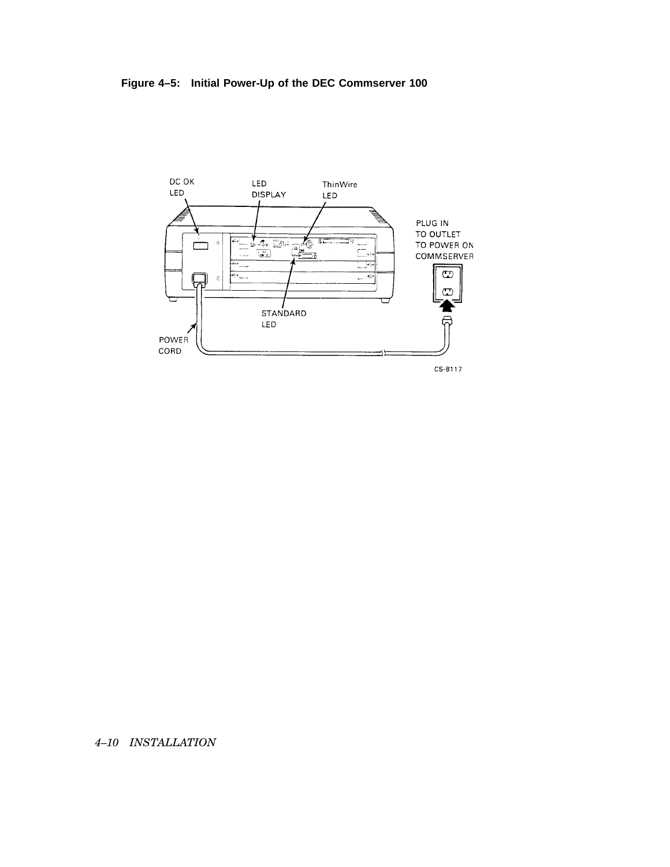**Figure 4–5: Initial Power-Up of the DEC Commserver 100**



*4–10 INSTALLATION*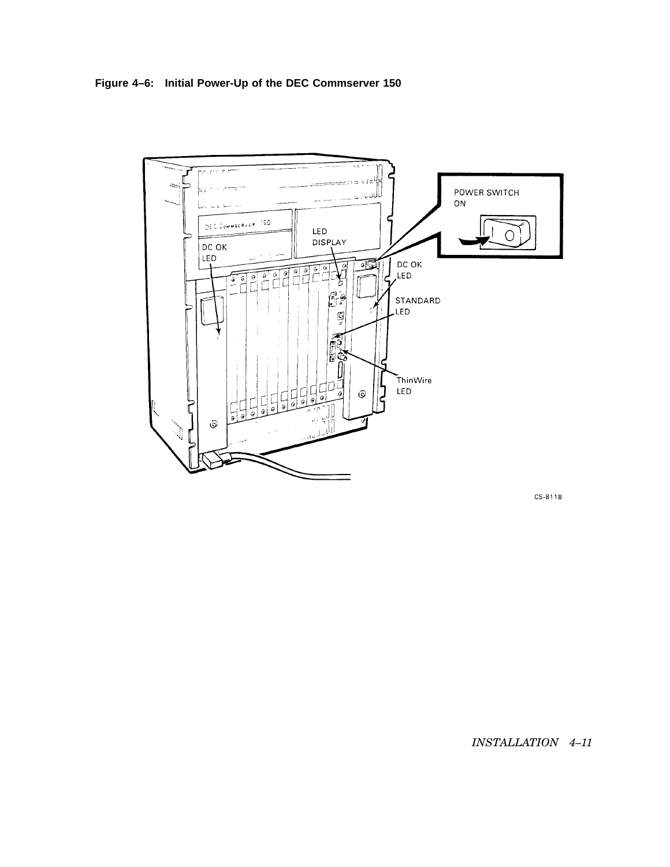**Figure 4–6: Initial Power-Up of the DEC Commserver 150**



CS-8118

*INSTALLATION 4–11*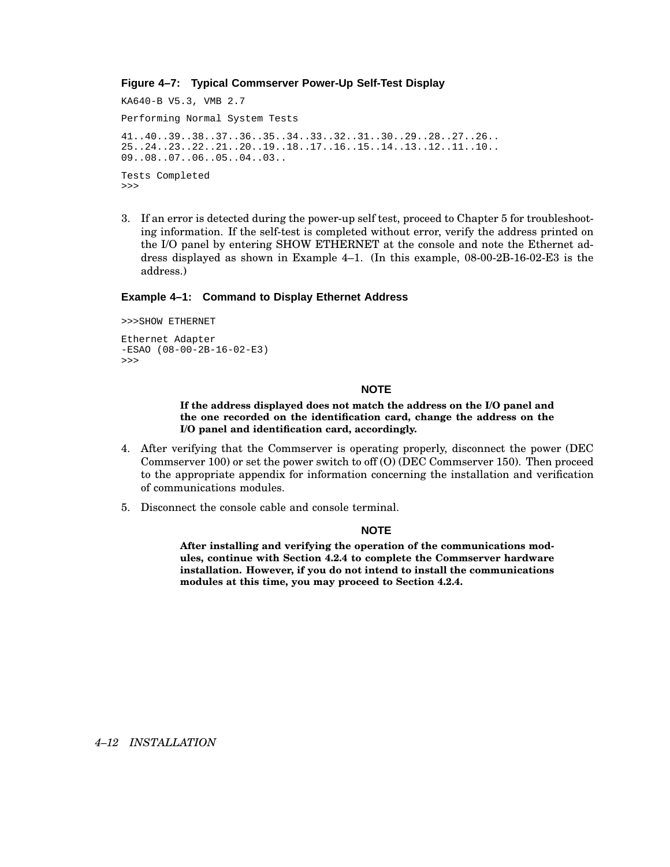### **Figure 4–7: Typical Commserver Power-Up Self-Test Display**

KA640-B V5.3, VMB 2.7 Performing Normal System Tests 41..40..39..38..37..36..35..34..33..32..31..30..29..28..27..26.. 25..24..23..22..21..20..19..18..17..16..15..14..13..12..11..10.. 09..08..07..06..05..04..03.. Tests Completed >>>

3. If an error is detected during the power-up self test, proceed to Chapter 5 for troubleshooting information. If the self-test is completed without error, verify the address printed on the I/O panel by entering SHOW ETHERNET at the console and note the Ethernet address displayed as shown in Example 4–1. (In this example, 08-00-2B-16-02-E3 is the address.)

#### **Example 4–1: Command to Display Ethernet Address**

```
>>>SHOW ETHERNET
Ethernet Adapter
-ESAO (08-00-2B-16-02-E3)
>>>
```
#### **NOTE**

**If the address displayed does not match the address on the I/O panel and the one recorded on the identification card, change the address on the I/O panel and identification card, accordingly.**

- 4. After verifying that the Commserver is operating properly, disconnect the power (DEC Commserver 100) or set the power switch to off (O) (DEC Commserver 150). Then proceed to the appropriate appendix for information concerning the installation and verification of communications modules.
- 5. Disconnect the console cable and console terminal.

#### **NOTE**

**After installing and verifying the operation of the communications modules, continue with Section 4.2.4 to complete the Commserver hardware installation. However, if you do not intend to install the communications modules at this time, you may proceed to Section 4.2.4.**

#### *4–12 INSTALLATION*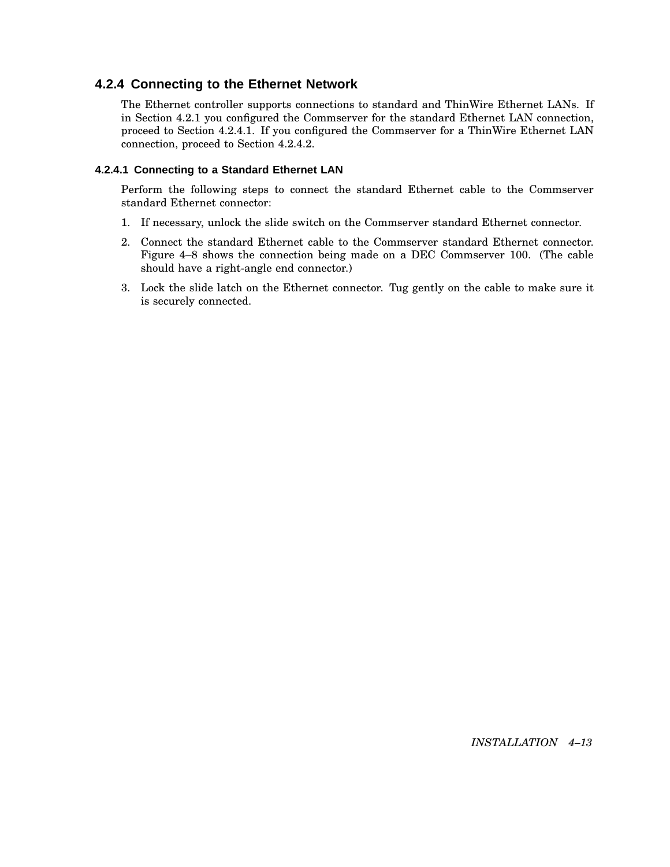## **4.2.4 Connecting to the Ethernet Network**

The Ethernet controller supports connections to standard and ThinWire Ethernet LANs. If in Section 4.2.1 you configured the Commserver for the standard Ethernet LAN connection, proceed to Section 4.2.4.1. If you configured the Commserver for a ThinWire Ethernet LAN connection, proceed to Section 4.2.4.2.

## **4.2.4.1 Connecting to a Standard Ethernet LAN**

Perform the following steps to connect the standard Ethernet cable to the Commserver standard Ethernet connector:

- 1. If necessary, unlock the slide switch on the Commserver standard Ethernet connector.
- 2. Connect the standard Ethernet cable to the Commserver standard Ethernet connector. Figure 4–8 shows the connection being made on a DEC Commserver 100. (The cable should have a right-angle end connector.)
- 3. Lock the slide latch on the Ethernet connector. Tug gently on the cable to make sure it is securely connected.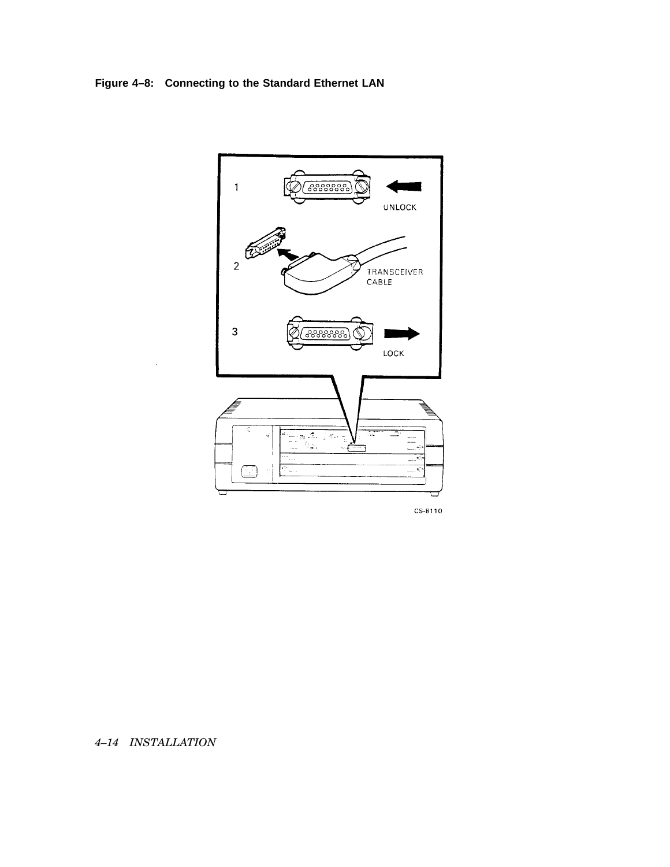## **Figure 4–8: Connecting to the Standard Ethernet LAN**



CS-8110

## *4–14 INSTALLATION*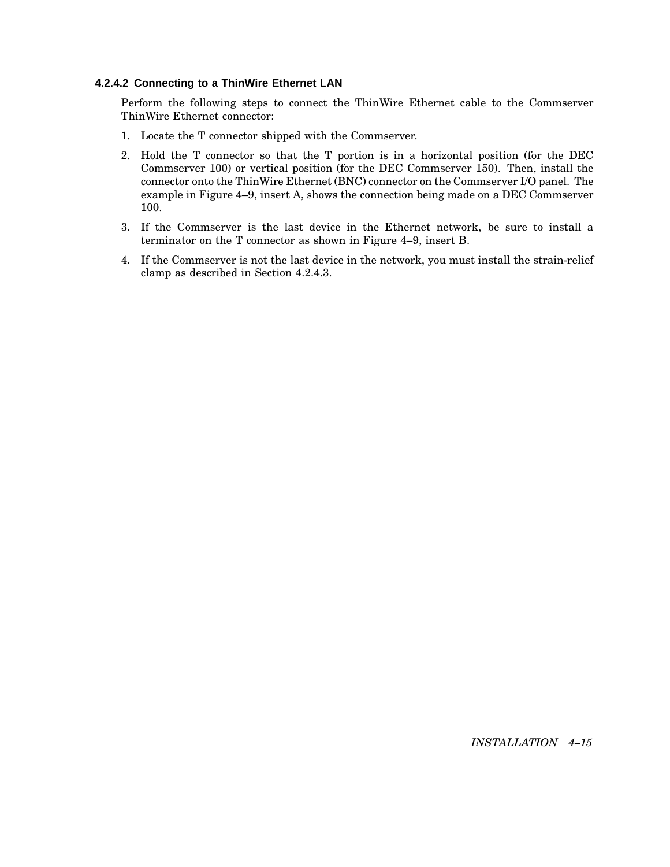#### **4.2.4.2 Connecting to a ThinWire Ethernet LAN**

Perform the following steps to connect the ThinWire Ethernet cable to the Commserver ThinWire Ethernet connector:

- 1. Locate the T connector shipped with the Commserver.
- 2. Hold the T connector so that the T portion is in a horizontal position (for the DEC Commserver 100) or vertical position (for the DEC Commserver 150). Then, install the connector onto the ThinWire Ethernet (BNC) connector on the Commserver I/O panel. The example in Figure 4–9, insert A, shows the connection being made on a DEC Commserver 100.
- 3. If the Commserver is the last device in the Ethernet network, be sure to install a terminator on the T connector as shown in Figure 4–9, insert B.
- 4. If the Commserver is not the last device in the network, you must install the strain-relief clamp as described in Section 4.2.4.3.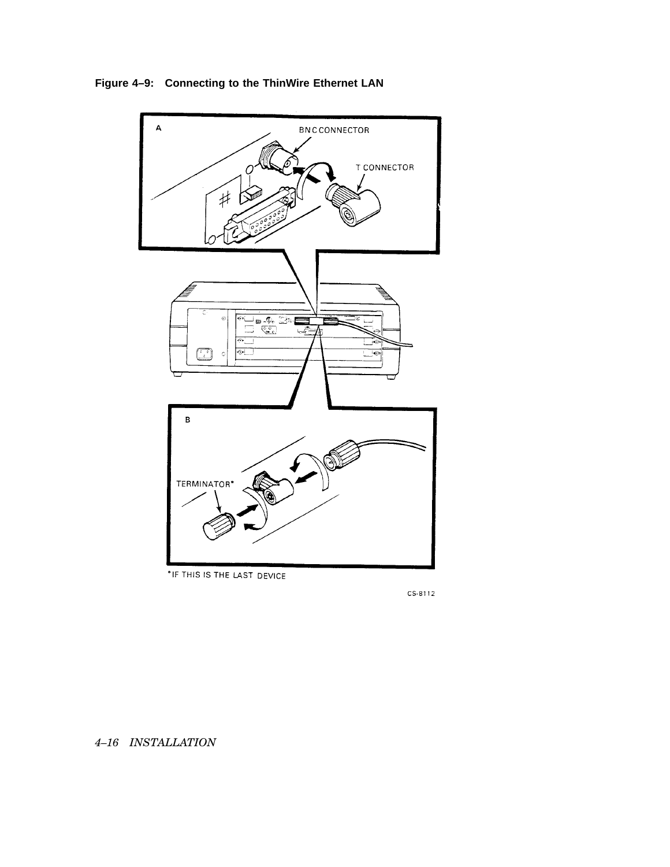

**Figure 4–9: Connecting to the ThinWire Ethernet LAN**

\*IF THIS IS THE LAST DEVICE

CS-8112

*4–16 INSTALLATION*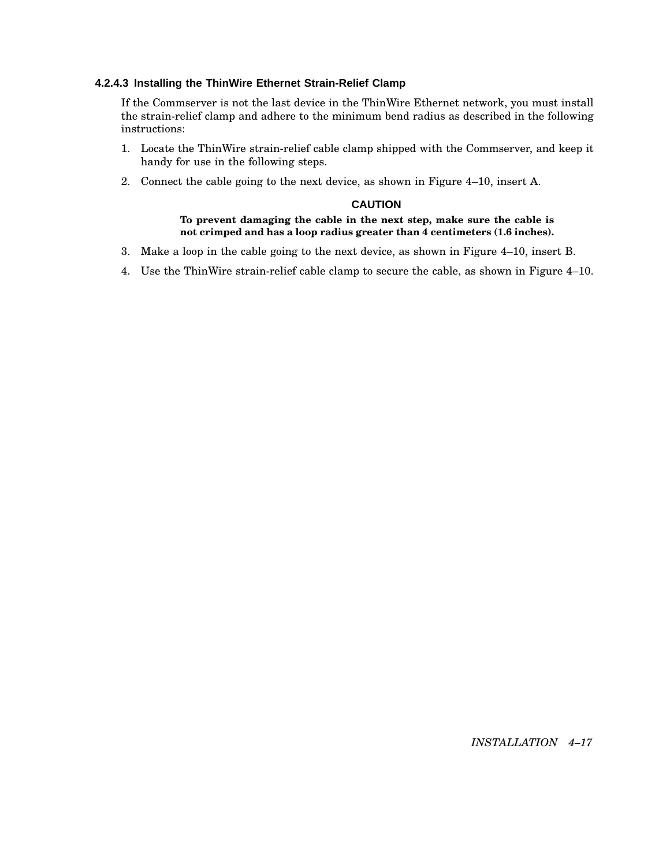## **4.2.4.3 Installing the ThinWire Ethernet Strain-Relief Clamp**

If the Commserver is not the last device in the ThinWire Ethernet network, you must install the strain-relief clamp and adhere to the minimum bend radius as described in the following instructions:

- 1. Locate the ThinWire strain-relief cable clamp shipped with the Commserver, and keep it handy for use in the following steps.
- 2. Connect the cable going to the next device, as shown in Figure 4–10, insert A.

#### **CAUTION**

### **To prevent damaging the cable in the next step, make sure the cable is not crimped and has a loop radius greater than 4 centimeters (1.6 inches).**

- 3. Make a loop in the cable going to the next device, as shown in Figure 4–10, insert B.
- 4. Use the ThinWire strain-relief cable clamp to secure the cable, as shown in Figure 4–10.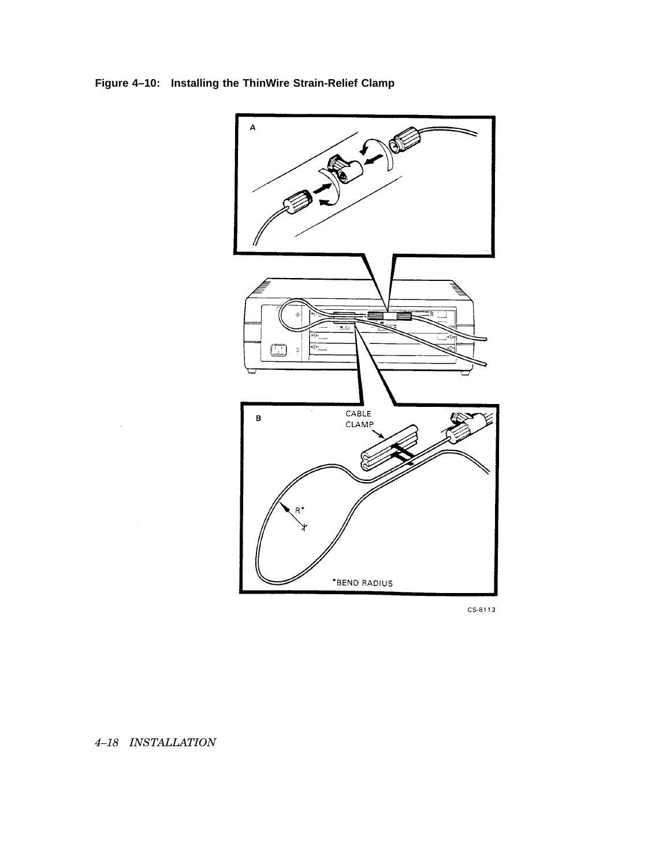**Figure 4–10: Installing the ThinWire Strain-Relief Clamp**



CS-8113

## *4–18 INSTALLATION*

 $\bar{\psi}$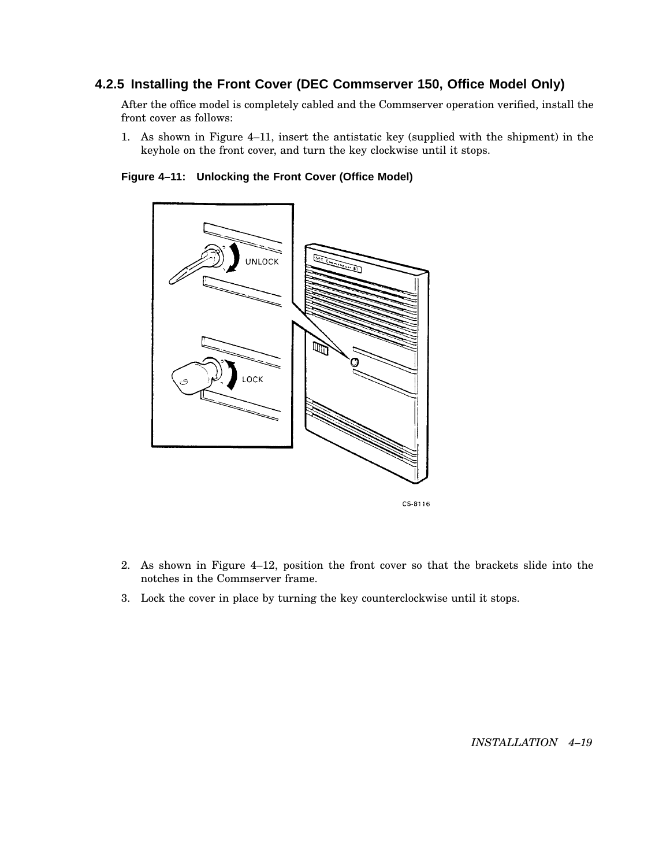## **4.2.5 Installing the Front Cover (DEC Commserver 150, Office Model Only)**

After the office model is completely cabled and the Commserver operation verified, install the front cover as follows:

1. As shown in Figure 4–11, insert the antistatic key (supplied with the shipment) in the keyhole on the front cover, and turn the key clockwise until it stops.

**Figure 4–11: Unlocking the Front Cover (Office Model)**



CS-8116

- 2. As shown in Figure 4–12, position the front cover so that the brackets slide into the notches in the Commserver frame.
- 3. Lock the cover in place by turning the key counterclockwise until it stops.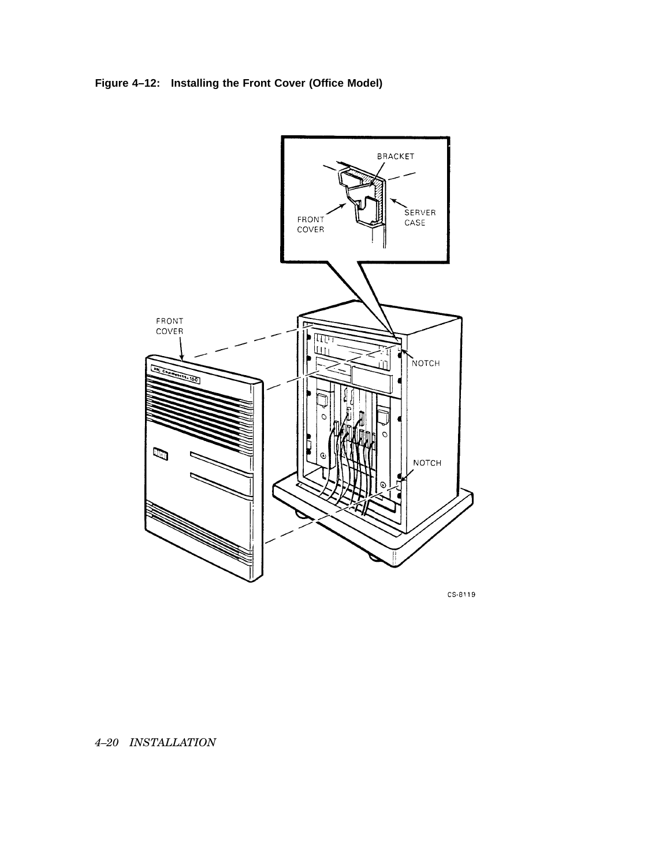



CS-8119

*4–20 INSTALLATION*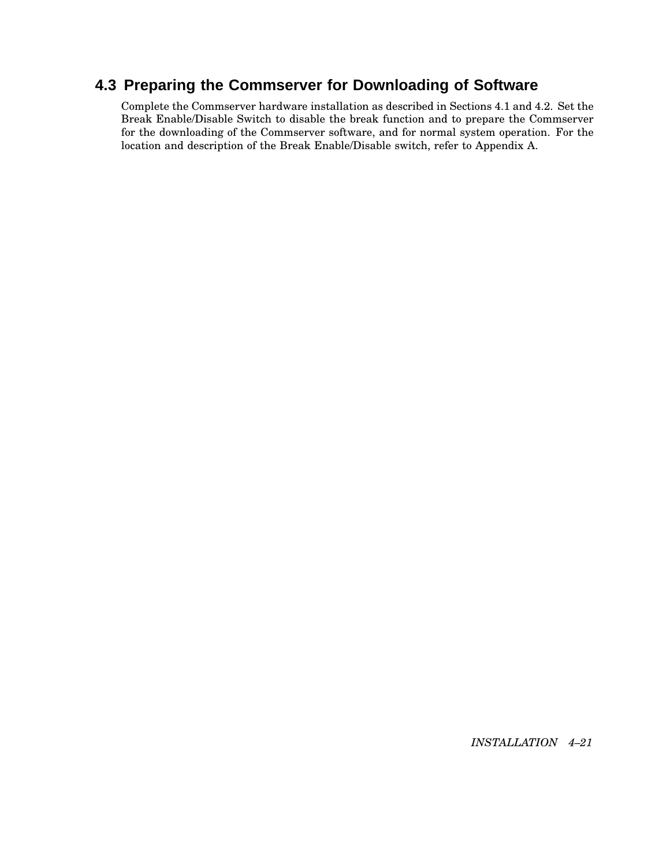# **4.3 Preparing the Commserver for Downloading of Software**

Complete the Commserver hardware installation as described in Sections 4.1 and 4.2. Set the Break Enable/Disable Switch to disable the break function and to prepare the Commserver for the downloading of the Commserver software, and for normal system operation. For the location and description of the Break Enable/Disable switch, refer to Appendix A.

*INSTALLATION 4–21*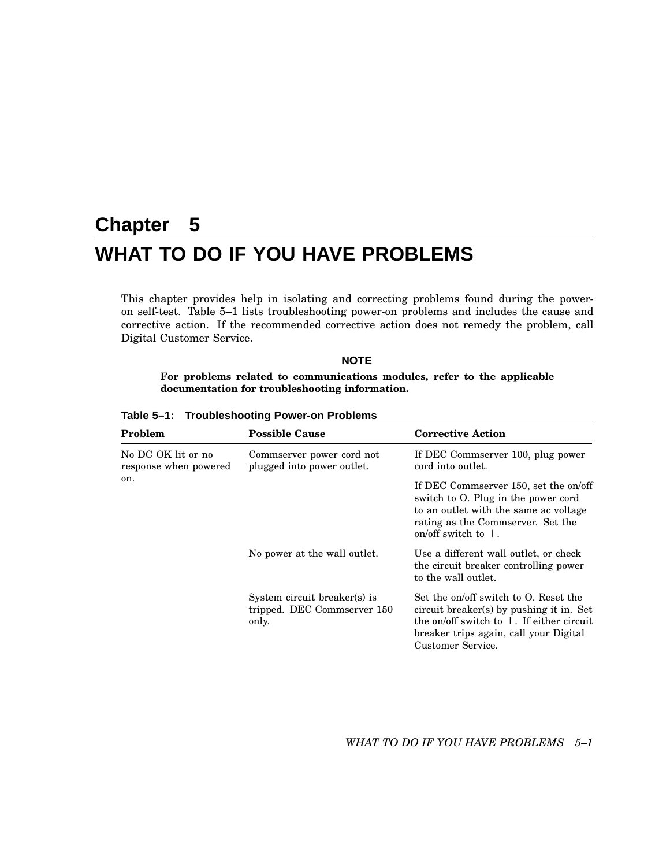# **Chapter 5 WHAT TO DO IF YOU HAVE PROBLEMS**

This chapter provides help in isolating and correcting problems found during the poweron self-test. Table 5–1 lists troubleshooting power-on problems and includes the cause and corrective action. If the recommended corrective action does not remedy the problem, call Digital Customer Service.

## **NOTE**

**For problems related to communications modules, refer to the applicable documentation for troubleshooting information.**

| Problem<br><b>Possible Cause</b><br>No DC OK lit or no<br>Commserver power cord not<br>plugged into power outlet.<br>response when powered |                                                                      | <b>Corrective Action</b>                                                                                                                                                                                 |  |
|--------------------------------------------------------------------------------------------------------------------------------------------|----------------------------------------------------------------------|----------------------------------------------------------------------------------------------------------------------------------------------------------------------------------------------------------|--|
|                                                                                                                                            |                                                                      | If DEC Commserver 100, plug power<br>cord into outlet.                                                                                                                                                   |  |
| on.                                                                                                                                        |                                                                      | If DEC Commserver 150, set the on/off<br>switch to O. Plug in the power cord<br>to an outlet with the same ac voltage<br>rating as the Commserver. Set the<br>on/off switch to $\perp$ .                 |  |
|                                                                                                                                            | No power at the wall outlet.                                         | Use a different wall outlet, or check<br>the circuit breaker controlling power<br>to the wall outlet.                                                                                                    |  |
|                                                                                                                                            | System circuit breaker(s) is<br>tripped. DEC Commserver 150<br>only. | Set the on/off switch to O. Reset the<br>circuit breaker(s) by pushing it in. Set<br>the on/off switch to $\parallel$ . If either circuit<br>breaker trips again, call your Digital<br>Customer Service. |  |

**Table 5–1: Troubleshooting Power-on Problems**

*WHAT TO DO IF YOU HAVE PROBLEMS 5–1*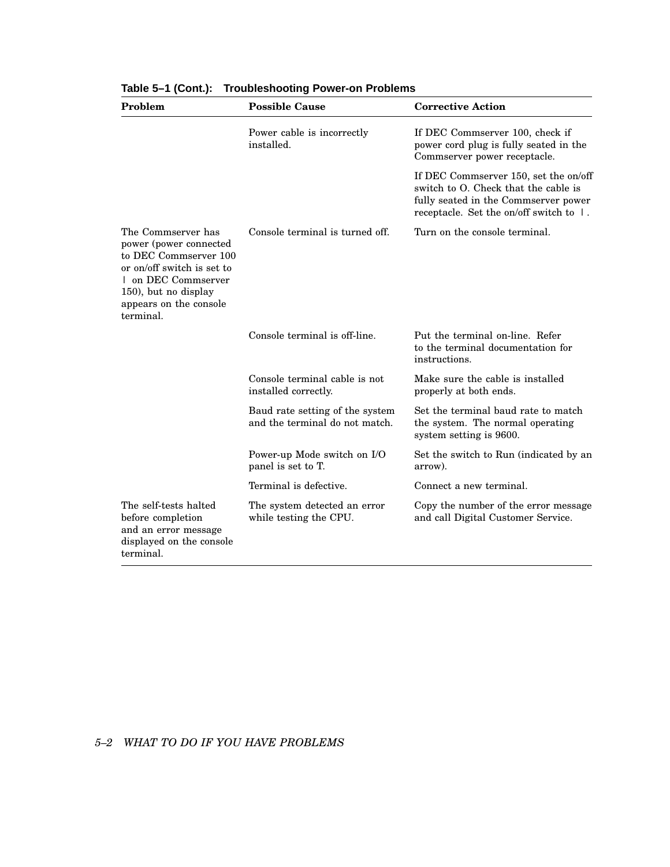| Problem                                                                                                                                                                                   | <b>Possible Cause</b>                                             | <b>Corrective Action</b>                                                                                                                                         |
|-------------------------------------------------------------------------------------------------------------------------------------------------------------------------------------------|-------------------------------------------------------------------|------------------------------------------------------------------------------------------------------------------------------------------------------------------|
|                                                                                                                                                                                           | Power cable is incorrectly<br>installed.                          | If DEC Commserver 100, check if<br>power cord plug is fully seated in the<br>Commserver power receptacle.                                                        |
|                                                                                                                                                                                           |                                                                   | If DEC Commserver 150, set the on/off<br>switch to O. Check that the cable is<br>fully seated in the Commserver power<br>receptacle. Set the on/off switch to 1. |
| The Commserver has<br>power (power connected<br>to DEC Commserver 100<br>or on/off switch is set to<br>1 on DEC Commserver<br>150), but no display<br>appears on the console<br>terminal. | Console terminal is turned off.                                   | Turn on the console terminal.                                                                                                                                    |
|                                                                                                                                                                                           | Console terminal is off-line.                                     | Put the terminal on-line. Refer<br>to the terminal documentation for<br>instructions.                                                                            |
|                                                                                                                                                                                           | Console terminal cable is not<br>installed correctly.             | Make sure the cable is installed<br>properly at both ends.                                                                                                       |
|                                                                                                                                                                                           | Baud rate setting of the system<br>and the terminal do not match. | Set the terminal baud rate to match<br>the system. The normal operating<br>system setting is 9600.                                                               |
|                                                                                                                                                                                           | Power-up Mode switch on I/O<br>panel is set to T.                 | Set the switch to Run (indicated by an<br>arrow).                                                                                                                |
|                                                                                                                                                                                           | Terminal is defective.                                            | Connect a new terminal.                                                                                                                                          |
| The self-tests halted<br>before completion<br>and an error message<br>displayed on the console<br>terminal.                                                                               | The system detected an error<br>while testing the CPU.            | Copy the number of the error message<br>and call Digital Customer Service.                                                                                       |

|  |  | Table 5-1 (Cont.): Troubleshooting Power-on Problems |
|--|--|------------------------------------------------------|
|--|--|------------------------------------------------------|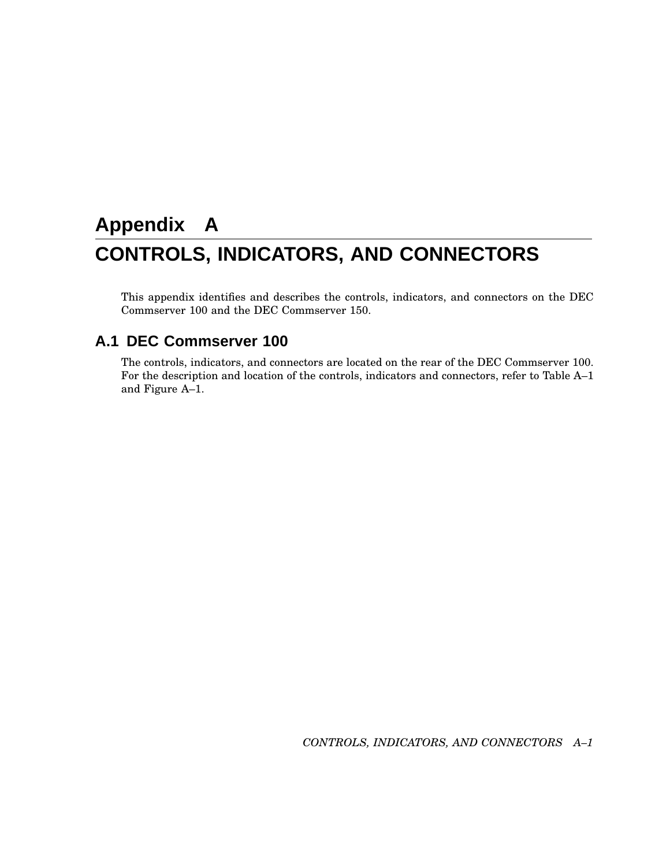# **Appendix A CONTROLS, INDICATORS, AND CONNECTORS**

This appendix identifies and describes the controls, indicators, and connectors on the DEC Commserver 100 and the DEC Commserver 150.

## **A.1 DEC Commserver 100**

The controls, indicators, and connectors are located on the rear of the DEC Commserver 100. For the description and location of the controls, indicators and connectors, refer to Table A–1 and Figure A–1.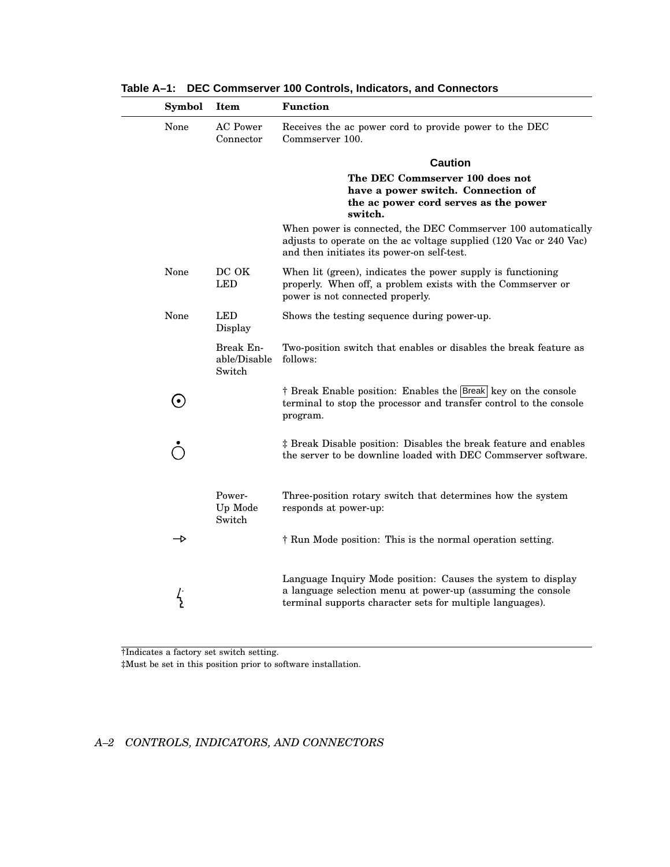| <b>Symbol</b>     | Item                                | <b>Function</b>                                                                                                                                                                          |
|-------------------|-------------------------------------|------------------------------------------------------------------------------------------------------------------------------------------------------------------------------------------|
| None              | <b>AC</b> Power<br>Connector        | Receives the ac power cord to provide power to the DEC<br>Commserver 100.                                                                                                                |
|                   |                                     | <b>Caution</b>                                                                                                                                                                           |
|                   |                                     | The DEC Commserver 100 does not<br>have a power switch. Connection of<br>the ac power cord serves as the power<br>switch.                                                                |
|                   |                                     | When power is connected, the DEC Commserver 100 automatically<br>adjusts to operate on the ac voltage supplied (120 Vac or 240 Vac)<br>and then initiates its power-on self-test.        |
| None              | DC OK<br><b>LED</b>                 | When lit (green), indicates the power supply is functioning<br>properly. When off, a problem exists with the Commserver or<br>power is not connected properly.                           |
| None              | <b>LED</b><br>Display               | Shows the testing sequence during power-up.                                                                                                                                              |
|                   | Break En-<br>able/Disable<br>Switch | Two-position switch that enables or disables the break feature as<br>follows:                                                                                                            |
| $\mathbf{\Theta}$ |                                     | † Break Enable position: Enables the Break key on the console<br>terminal to stop the processor and transfer control to the console<br>program.                                          |
|                   |                                     | # Break Disable position: Disables the break feature and enables<br>the server to be downline loaded with DEC Commserver software.                                                       |
|                   | Power-<br>Up Mode<br>Switch         | Three-position rotary switch that determines how the system<br>responds at power-up:                                                                                                     |
| →                 |                                     | † Run Mode position: This is the normal operation setting.                                                                                                                               |
|                   |                                     | Language Inquiry Mode position: Causes the system to display<br>a language selection menu at power-up (assuming the console<br>terminal supports character sets for multiple languages). |

**Table A–1: DEC Commserver 100 Controls, Indicators, and Connectors**

†Indicates a factory set switch setting.

‡Must be set in this position prior to software installation.

## *A–2 CONTROLS, INDICATORS, AND CONNECTORS*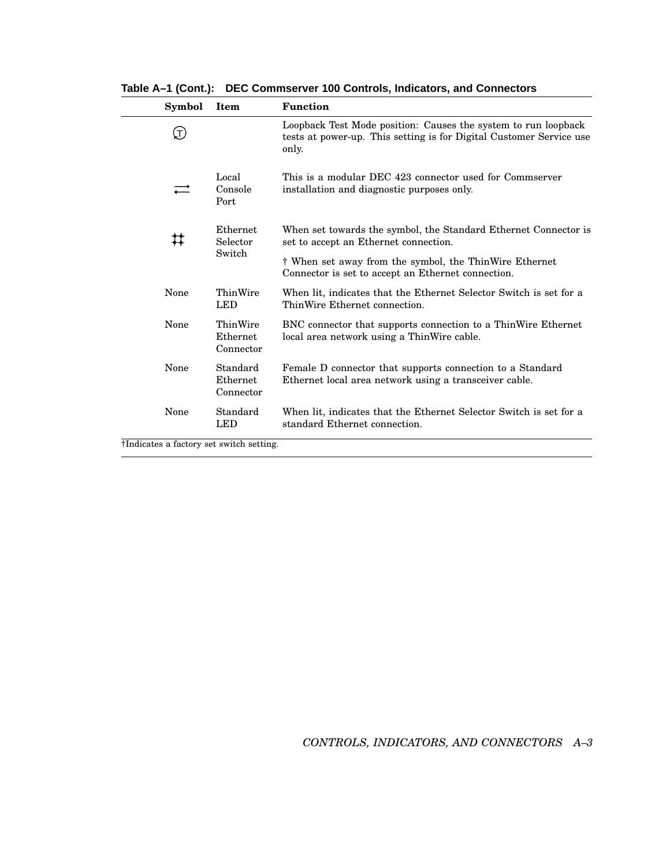| Symbol                                   | Item                              | <b>Function</b>                                                                                                                                |
|------------------------------------------|-----------------------------------|------------------------------------------------------------------------------------------------------------------------------------------------|
| $\left( \top \right)$                    |                                   | Loopback Test Mode position: Causes the system to run loopback<br>tests at power-up. This setting is for Digital Customer Service use<br>only. |
|                                          | Local<br>Console<br>Port          | This is a modular DEC 423 connector used for Commserver<br>installation and diagnostic purposes only.                                          |
| ♯                                        | Ethernet<br>Selector              | When set towards the symbol, the Standard Ethernet Connector is<br>set to accept an Ethernet connection.                                       |
|                                          | Switch                            | † When set away from the symbol, the ThinWire Ethernet<br>Connector is set to accept an Ethernet connection.                                   |
| None                                     | ThinWire<br><b>LED</b>            | When lit, indicates that the Ethernet Selector Switch is set for a<br>ThinWire Ethernet connection.                                            |
| None                                     | ThinWire<br>Ethernet<br>Connector | BNC connector that supports connection to a ThinWire Ethernet<br>local area network using a Thin Wire cable.                                   |
| None                                     | Standard<br>Ethernet<br>Connector | Female D connector that supports connection to a Standard<br>Ethernet local area network using a transceiver cable.                            |
| None                                     | Standard<br><b>LED</b>            | When lit, indicates that the Ethernet Selector Switch is set for a<br>standard Ethernet connection.                                            |
| †Indicates a factory set switch setting. |                                   |                                                                                                                                                |

**Table A–1 (Cont.): DEC Commserver 100 Controls, Indicators, and Connectors**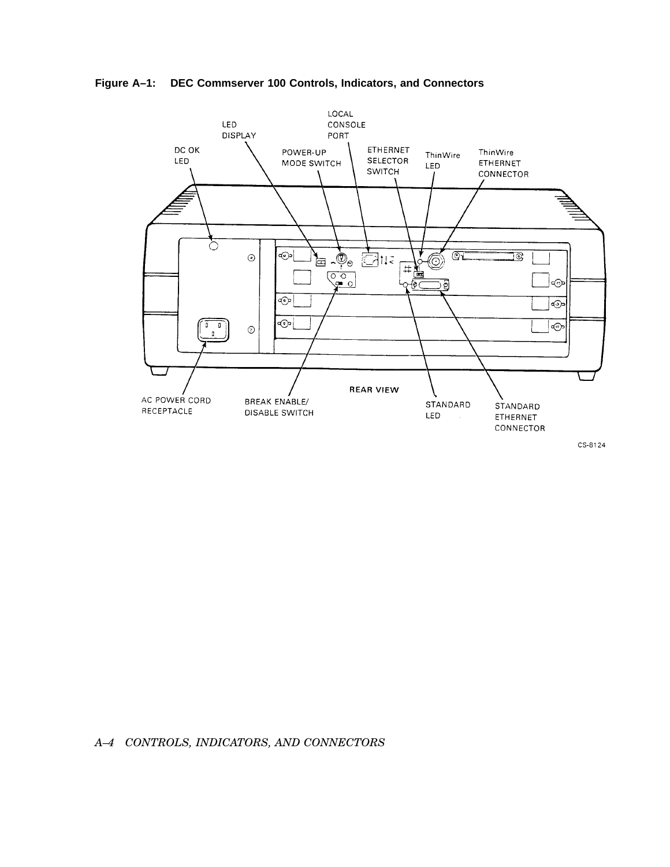**Figure A–1: DEC Commserver 100 Controls, Indicators, and Connectors**



CS-8124

## *A–4 CONTROLS, INDICATORS, AND CONNECTORS*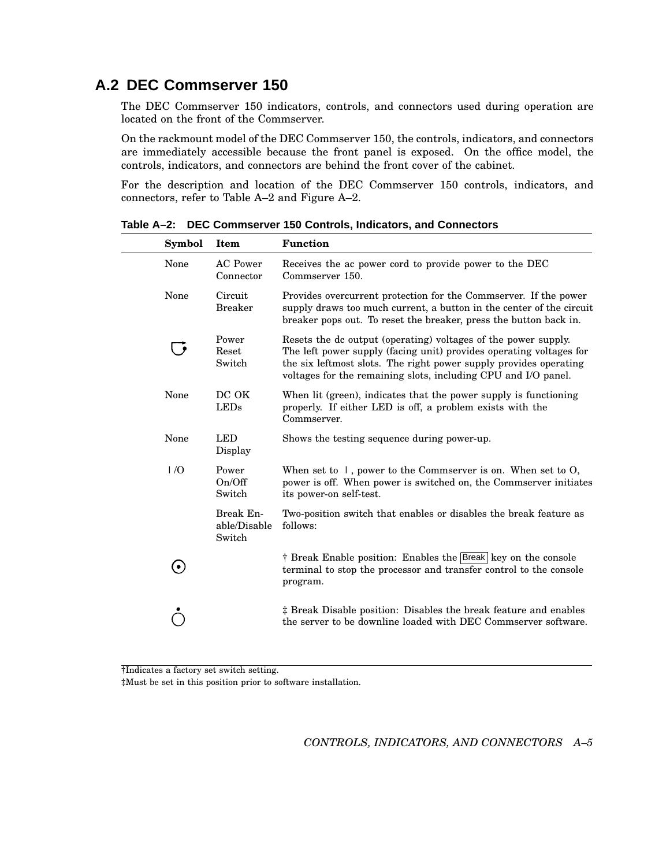## **A.2 DEC Commserver 150**

The DEC Commserver 150 indicators, controls, and connectors used during operation are located on the front of the Commserver.

On the rackmount model of the DEC Commserver 150, the controls, indicators, and connectors are immediately accessible because the front panel is exposed. On the office model, the controls, indicators, and connectors are behind the front cover of the cabinet.

For the description and location of the DEC Commserver 150 controls, indicators, and connectors, refer to Table A–2 and Figure A–2.

| Symbol | Item                                | <b>Function</b>                                                                                                                                                                                                                                                              |
|--------|-------------------------------------|------------------------------------------------------------------------------------------------------------------------------------------------------------------------------------------------------------------------------------------------------------------------------|
| None   | <b>AC</b> Power<br>Connector        | Receives the ac power cord to provide power to the DEC<br>Commserver 150.                                                                                                                                                                                                    |
| None   | Circuit<br><b>Breaker</b>           | Provides overcurrent protection for the Commserver. If the power<br>supply draws too much current, a button in the center of the circuit<br>breaker pops out. To reset the breaker, press the button back in.                                                                |
|        | Power<br>Reset<br>Switch            | Resets the dc output (operating) voltages of the power supply.<br>The left power supply (facing unit) provides operating voltages for<br>the six leftmost slots. The right power supply provides operating<br>voltages for the remaining slots, including CPU and I/O panel. |
| None   | DC OK<br><b>LEDs</b>                | When lit (green), indicates that the power supply is functioning<br>properly. If either LED is off, a problem exists with the<br>Commserver.                                                                                                                                 |
| None   | <b>LED</b><br>Display               | Shows the testing sequence during power-up.                                                                                                                                                                                                                                  |
| 1/0    | Power<br>On/Off<br>Switch           | When set to $\vert$ , power to the Commserver is on. When set to O,<br>power is off. When power is switched on, the Commserver initiates<br>its power-on self-test.                                                                                                          |
|        | Break En-<br>able/Disable<br>Switch | Two-position switch that enables or disables the break feature as<br>follows:                                                                                                                                                                                                |
|        |                                     | † Break Enable position: Enables the Break key on the console<br>terminal to stop the processor and transfer control to the console<br>program.                                                                                                                              |
|        |                                     | # Break Disable position: Disables the break feature and enables<br>the server to be downline loaded with DEC Commserver software.                                                                                                                                           |

**Table A–2: DEC Commserver 150 Controls, Indicators, and Connectors**

†Indicates a factory set switch setting.

‡Must be set in this position prior to software installation.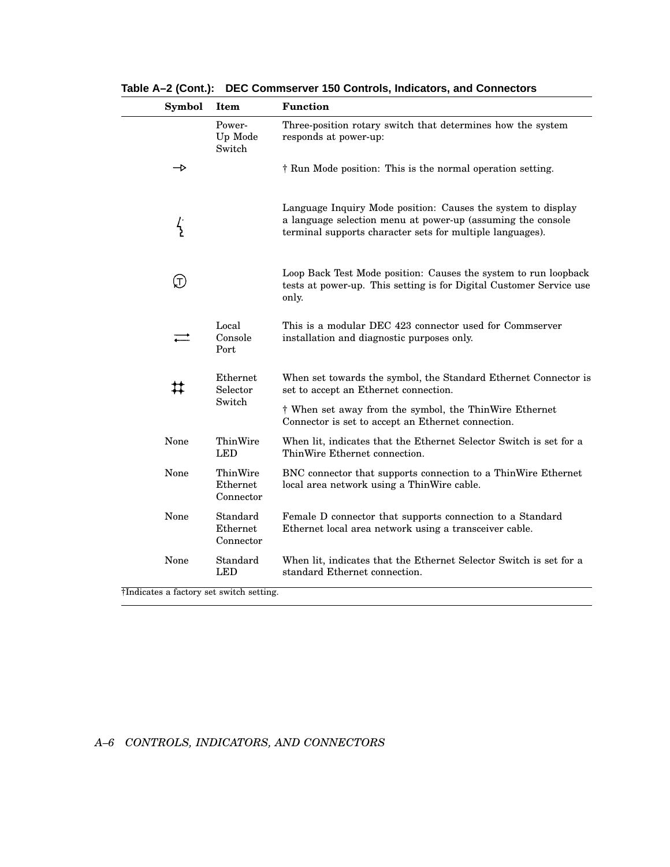| <b>Symbol</b> | Item                              | <b>Function</b>                                                                                                                                                                          |
|---------------|-----------------------------------|------------------------------------------------------------------------------------------------------------------------------------------------------------------------------------------|
|               | Power-<br>Up Mode<br>Switch       | Three-position rotary switch that determines how the system<br>responds at power-up:                                                                                                     |
| →             |                                   | † Run Mode position: This is the normal operation setting.                                                                                                                               |
| $\frac{1}{2}$ |                                   | Language Inquiry Mode position: Causes the system to display<br>a language selection menu at power-up (assuming the console<br>terminal supports character sets for multiple languages). |
| (T)           |                                   | Loop Back Test Mode position: Causes the system to run loopback<br>tests at power-up. This setting is for Digital Customer Service use<br>only.                                          |
|               | Local<br>Console<br>Port          | This is a modular DEC 423 connector used for Commserver<br>installation and diagnostic purposes only.                                                                                    |
| ♯             | Ethernet<br>Selector              | When set towards the symbol, the Standard Ethernet Connector is<br>set to accept an Ethernet connection.                                                                                 |
|               | Switch                            | † When set away from the symbol, the ThinWire Ethernet<br>Connector is set to accept an Ethernet connection.                                                                             |
| None          | ThinWire<br>LED                   | When lit, indicates that the Ethernet Selector Switch is set for a<br>ThinWire Ethernet connection.                                                                                      |
| None          | ThinWire<br>Ethernet<br>Connector | BNC connector that supports connection to a ThinWire Ethernet<br>local area network using a ThinWire cable.                                                                              |
| None          | Standard<br>Ethernet<br>Connector | Female D connector that supports connection to a Standard<br>Ethernet local area network using a transceiver cable.                                                                      |
| None          | Standard<br><b>LED</b>            | When lit, indicates that the Ethernet Selector Switch is set for a<br>standard Ethernet connection.                                                                                      |

**Table A–2 (Cont.): DEC Commserver 150 Controls, Indicators, and Connectors**

†Indicates a factory set switch setting.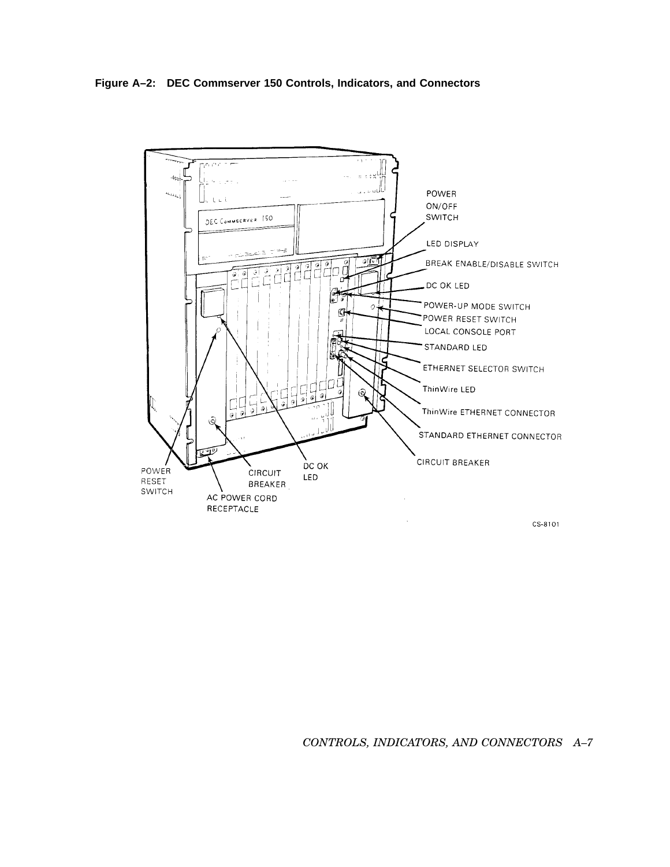**Figure A–2: DEC Commserver 150 Controls, Indicators, and Connectors**

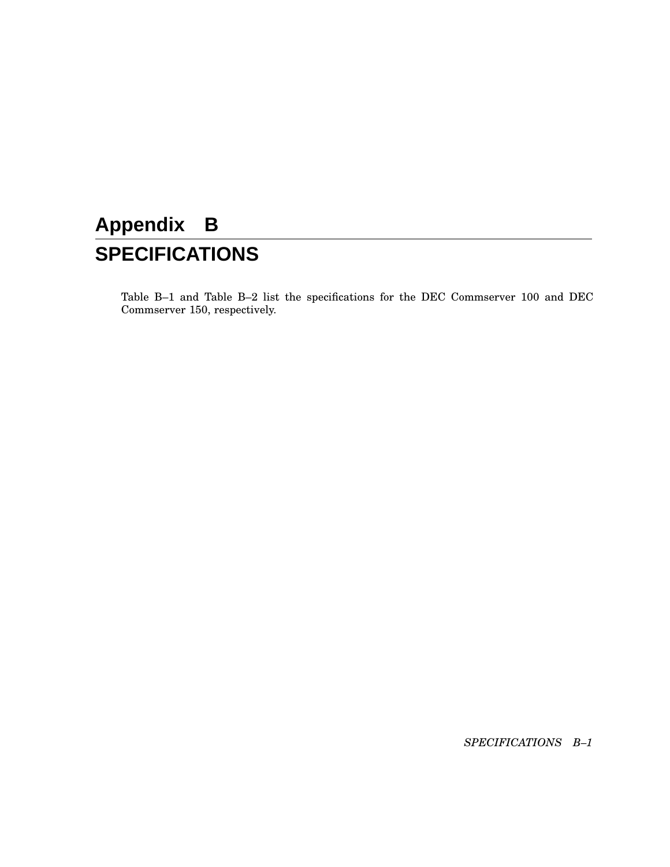# **Appendix B SPECIFICATIONS**

Table B–1 and Table B–2 list the specifications for the DEC Commserver 100 and DEC Commserver 150, respectively.

*SPECIFICATIONS B–1*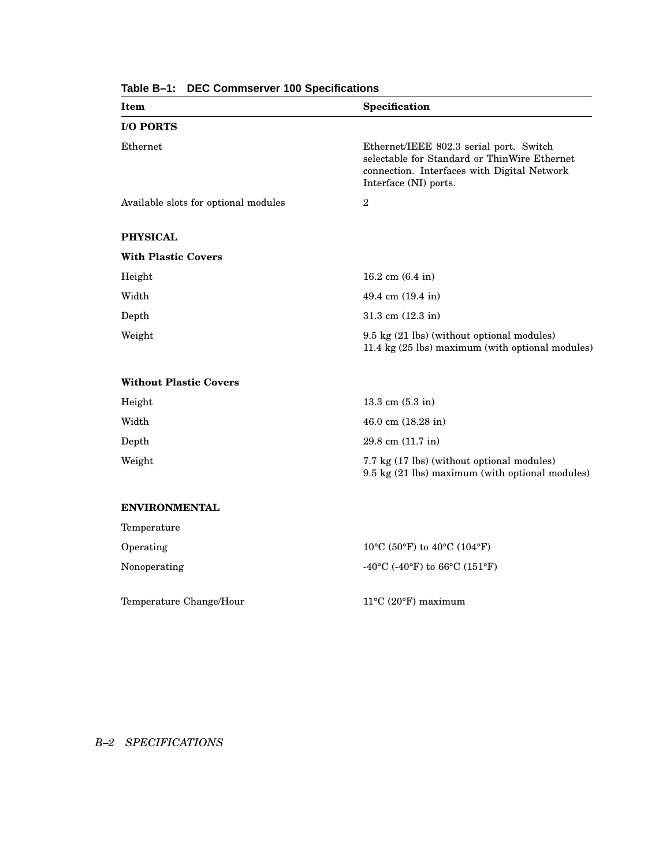| Item                                 | Specification                                                                                                                                                   |
|--------------------------------------|-----------------------------------------------------------------------------------------------------------------------------------------------------------------|
| <b>I/O PORTS</b>                     |                                                                                                                                                                 |
| Ethernet                             | Ethernet/IEEE 802.3 serial port. Switch<br>selectable for Standard or ThinWire Ethernet<br>connection. Interfaces with Digital Network<br>Interface (NI) ports. |
| Available slots for optional modules | $\boldsymbol{2}$                                                                                                                                                |
| <b>PHYSICAL</b>                      |                                                                                                                                                                 |
| <b>With Plastic Covers</b>           |                                                                                                                                                                 |
| Height                               | 16.2 cm $(6.4 \text{ in})$                                                                                                                                      |
| Width                                | 49.4 cm (19.4 in)                                                                                                                                               |
| Depth                                | 31.3 cm $(12.3 \text{ in})$                                                                                                                                     |
| Weight                               | 9.5 kg (21 lbs) (without optional modules)<br>11.4 kg (25 lbs) maximum (with optional modules)                                                                  |
| <b>Without Plastic Covers</b>        |                                                                                                                                                                 |
| Height                               | $13.3$ cm $(5.3 \text{ in})$                                                                                                                                    |
| Width                                | 46.0 cm $(18.28 \text{ in})$                                                                                                                                    |
| Depth                                | 29.8 cm (11.7 in)                                                                                                                                               |
| Weight                               | 7.7 kg (17 lbs) (without optional modules)<br>9.5 kg (21 lbs) maximum (with optional modules)                                                                   |
| <b>ENVIRONMENTAL</b>                 |                                                                                                                                                                 |
| Temperature                          |                                                                                                                                                                 |
| Operating                            | $10^{\circ}$ C (50°F) to 40°C (104°F)                                                                                                                           |
| Nonoperating                         | -40°C (-40°F) to 66°C (151°F)                                                                                                                                   |
| Temperature Change/Hour              | $11^{\circ}$ C (20 $^{\circ}$ F) maximum                                                                                                                        |

**Table B–1: DEC Commserver 100 Specifications**

## *B–2 SPECIFICATIONS*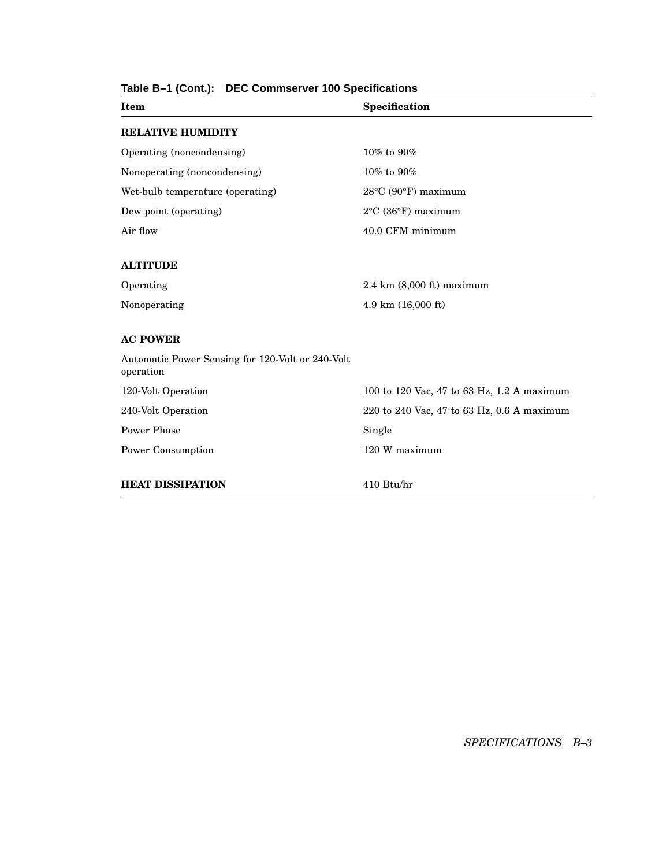| Item                                                          | Specification                              |
|---------------------------------------------------------------|--------------------------------------------|
| <b>RELATIVE HUMIDITY</b>                                      |                                            |
| Operating (noncondensing)                                     | 10% to 90%                                 |
| Nonoperating (noncondensing)                                  | 10% to 90%                                 |
| Wet-bulb temperature (operating)                              | $28^{\circ}$ C (90 $^{\circ}$ F) maximum   |
| Dew point (operating)                                         | $2^{\circ}$ C (36 $^{\circ}$ F) maximum    |
| Air flow                                                      | 40.0 CFM minimum                           |
| <b>ALTITUDE</b>                                               |                                            |
| Operating                                                     | $2.4 \text{ km}$ (8,000 ft) maximum        |
| Nonoperating                                                  | 4.9 km (16,000 ft)                         |
| <b>AC POWER</b>                                               |                                            |
| Automatic Power Sensing for 120-Volt or 240-Volt<br>operation |                                            |
| 120-Volt Operation                                            | 100 to 120 Vac, 47 to 63 Hz, 1.2 A maximum |
| 240-Volt Operation                                            | 220 to 240 Vac, 47 to 63 Hz, 0.6 A maximum |
| Power Phase                                                   | Single                                     |
| Power Consumption                                             | 120 W maximum                              |
| <b>HEAT DISSIPATION</b>                                       | 410 Btu/hr                                 |

## **Table B–1 (Cont.): DEC Commserver 100 Specifications**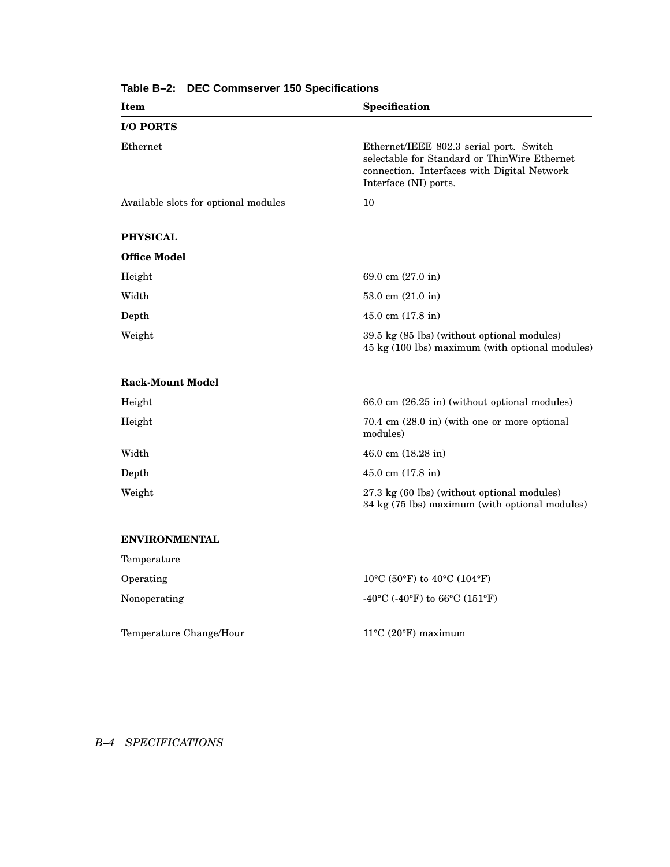| Item                                 | Specification                                                                                                                                                   |
|--------------------------------------|-----------------------------------------------------------------------------------------------------------------------------------------------------------------|
| <b>I/O PORTS</b>                     |                                                                                                                                                                 |
| Ethernet                             | Ethernet/IEEE 802.3 serial port. Switch<br>selectable for Standard or ThinWire Ethernet<br>connection. Interfaces with Digital Network<br>Interface (NI) ports. |
| Available slots for optional modules | 10                                                                                                                                                              |
| <b>PHYSICAL</b>                      |                                                                                                                                                                 |
| <b>Office Model</b>                  |                                                                                                                                                                 |
| Height                               | 69.0 cm (27.0 in)                                                                                                                                               |
| Width                                | 53.0 cm $(21.0 \text{ in})$                                                                                                                                     |
| Depth                                | $45.0$ cm $(17.8$ in)                                                                                                                                           |
| Weight                               | 39.5 kg (85 lbs) (without optional modules)<br>45 kg (100 lbs) maximum (with optional modules)                                                                  |
| <b>Rack-Mount Model</b>              |                                                                                                                                                                 |
| Height                               | 66.0 cm (26.25 in) (without optional modules)                                                                                                                   |
| Height                               | 70.4 cm (28.0 in) (with one or more optional<br>modules)                                                                                                        |
| Width                                | 46.0 cm $(18.28 \text{ in})$                                                                                                                                    |
| Depth                                | $45.0$ cm $(17.8$ in)                                                                                                                                           |
| Weight                               | 27.3 kg (60 lbs) (without optional modules)<br>34 kg (75 lbs) maximum (with optional modules)                                                                   |
| <b>ENVIRONMENTAL</b>                 |                                                                                                                                                                 |
| Temperature                          |                                                                                                                                                                 |
| Operating                            | 10°C (50°F) to 40°C (104°F)                                                                                                                                     |
| Nonoperating                         | -40°C (-40°F) to 66°C (151°F)                                                                                                                                   |
| Temperature Change/Hour              | $11^{\circ}$ C (20 $^{\circ}$ F) maximum                                                                                                                        |

**Table B–2: DEC Commserver 150 Specifications**

## *B–4 SPECIFICATIONS*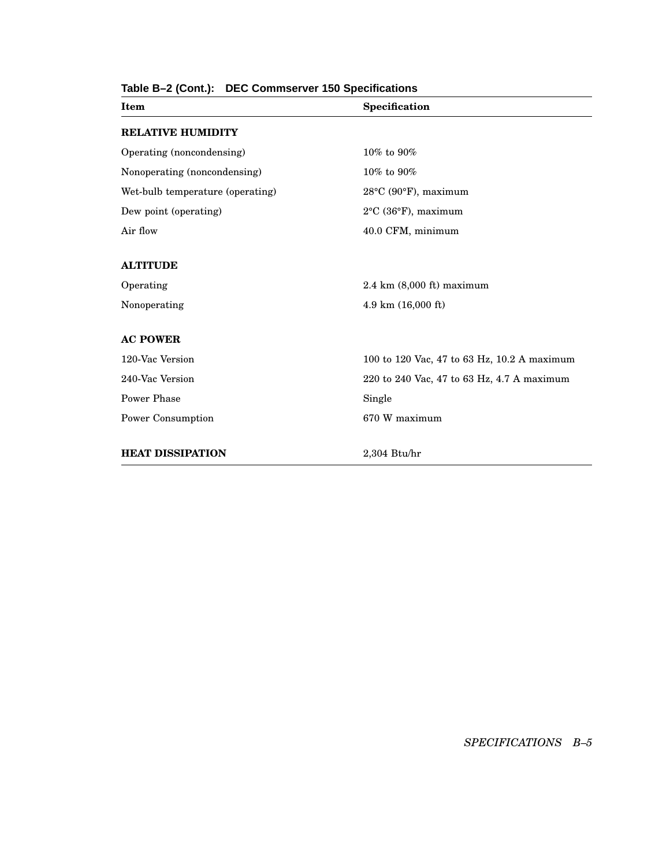| Item                             | Specification                               |  |
|----------------------------------|---------------------------------------------|--|
| <b>RELATIVE HUMIDITY</b>         |                                             |  |
| Operating (noncondensing)        | $10\%$ to $90\%$                            |  |
| Nonoperating (noncondensing)     | 10% to 90%                                  |  |
| Wet-bulb temperature (operating) | $28^{\circ}$ C (90 $^{\circ}$ F), maximum   |  |
| Dew point (operating)            | $2^{\circ}$ C (36 $^{\circ}$ F), maximum    |  |
| Air flow                         | 40.0 CFM, minimum                           |  |
|                                  |                                             |  |
| <b>ALTITUDE</b>                  |                                             |  |
| Operating                        | $2.4 \text{ km}$ (8,000 ft) maximum         |  |
| Nonoperating                     | 4.9 km (16,000 ft)                          |  |
|                                  |                                             |  |
| <b>AC POWER</b>                  |                                             |  |
| 120-Vac Version                  | 100 to 120 Vac, 47 to 63 Hz, 10.2 A maximum |  |
| 240-Vac Version                  | 220 to 240 Vac, 47 to 63 Hz, 4.7 A maximum  |  |
| Power Phase                      | Single                                      |  |
| Power Consumption                | 670 W maximum                               |  |
|                                  |                                             |  |
| <b>HEAT DISSIPATION</b>          | $2,304$ Btu/hr                              |  |

## **Table B–2 (Cont.): DEC Commserver 150 Specifications**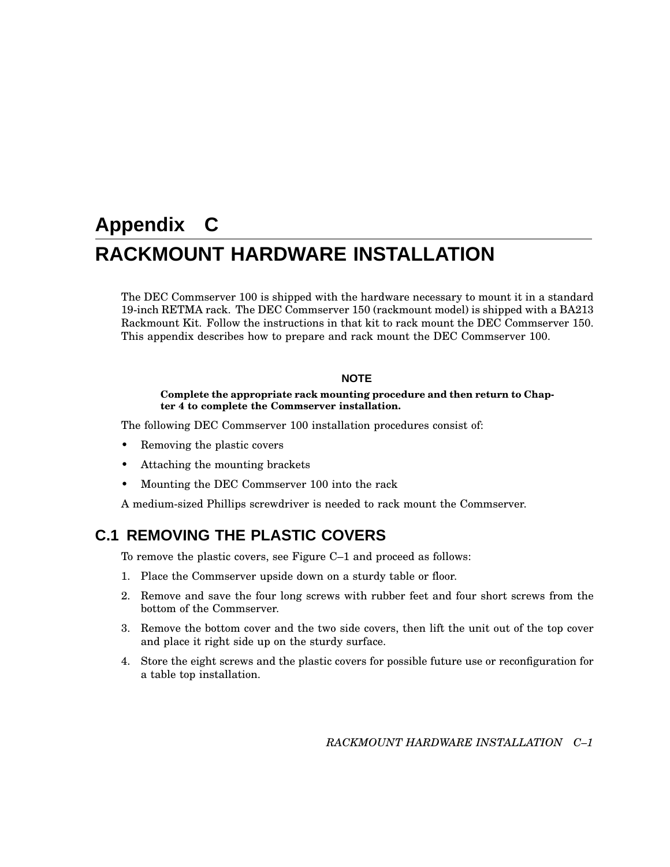# **Appendix C RACKMOUNT HARDWARE INSTALLATION**

The DEC Commserver 100 is shipped with the hardware necessary to mount it in a standard 19-inch RETMA rack. The DEC Commserver 150 (rackmount model) is shipped with a BA213 Rackmount Kit. Follow the instructions in that kit to rack mount the DEC Commserver 150. This appendix describes how to prepare and rack mount the DEC Commserver 100.

### **NOTE**

#### **Complete the appropriate rack mounting procedure and then return to Chapter 4 to complete the Commserver installation.**

The following DEC Commserver 100 installation procedures consist of:

- Removing the plastic covers
- Attaching the mounting brackets
- Mounting the DEC Commserver 100 into the rack

A medium-sized Phillips screwdriver is needed to rack mount the Commserver.

## **C.1 REMOVING THE PLASTIC COVERS**

To remove the plastic covers, see Figure C–1 and proceed as follows:

- 1. Place the Commserver upside down on a sturdy table or floor.
- 2. Remove and save the four long screws with rubber feet and four short screws from the bottom of the Commserver.
- 3. Remove the bottom cover and the two side covers, then lift the unit out of the top cover and place it right side up on the sturdy surface.
- 4. Store the eight screws and the plastic covers for possible future use or reconfiguration for a table top installation.

*RACKMOUNT HARDWARE INSTALLATION C–1*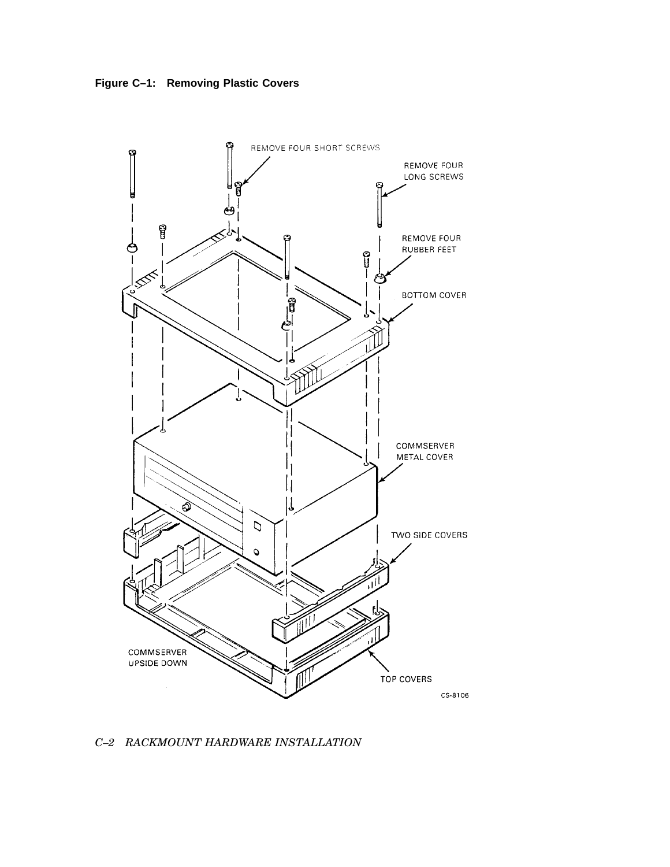



*C–2 RACKMOUNT HARDWARE INSTALLATION*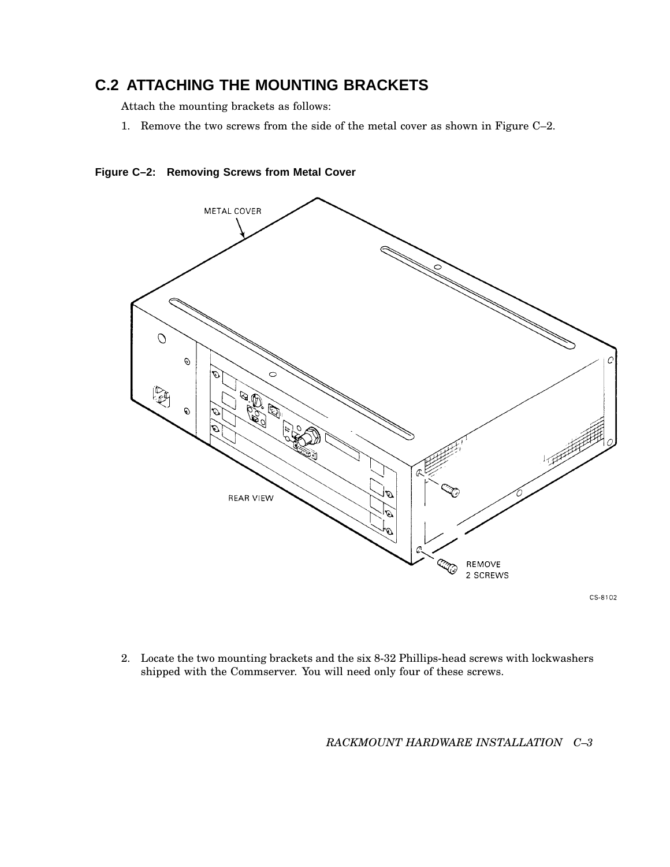# **C.2 ATTACHING THE MOUNTING BRACKETS**

Attach the mounting brackets as follows:

1. Remove the two screws from the side of the metal cover as shown in Figure C–2.





CS-8102

2. Locate the two mounting brackets and the six 8-32 Phillips-head screws with lockwashers shipped with the Commserver. You will need only four of these screws.

*RACKMOUNT HARDWARE INSTALLATION C–3*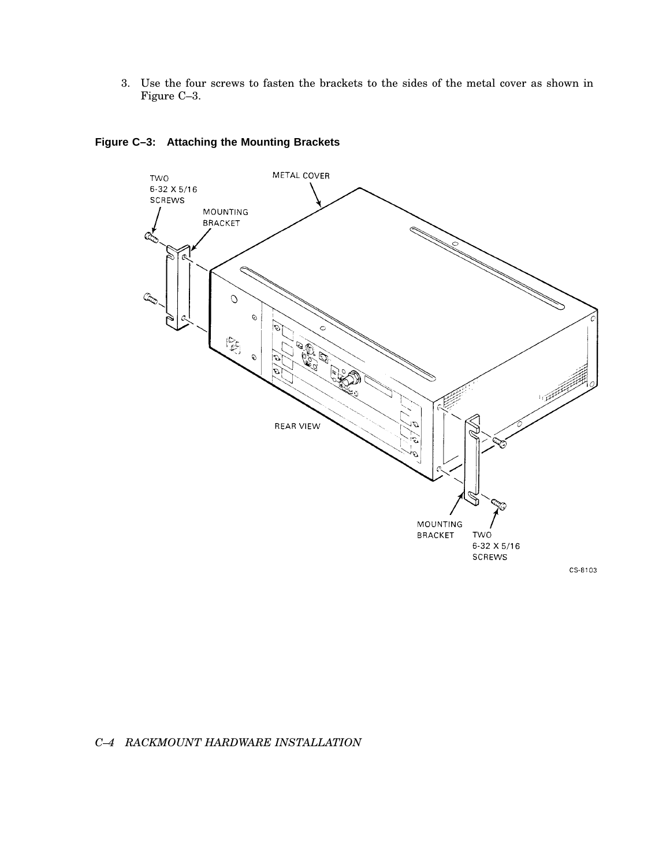3. Use the four screws to fasten the brackets to the sides of the metal cover as shown in Figure C–3.



## **Figure C–3: Attaching the Mounting Brackets**

*C–4 RACKMOUNT HARDWARE INSTALLATION*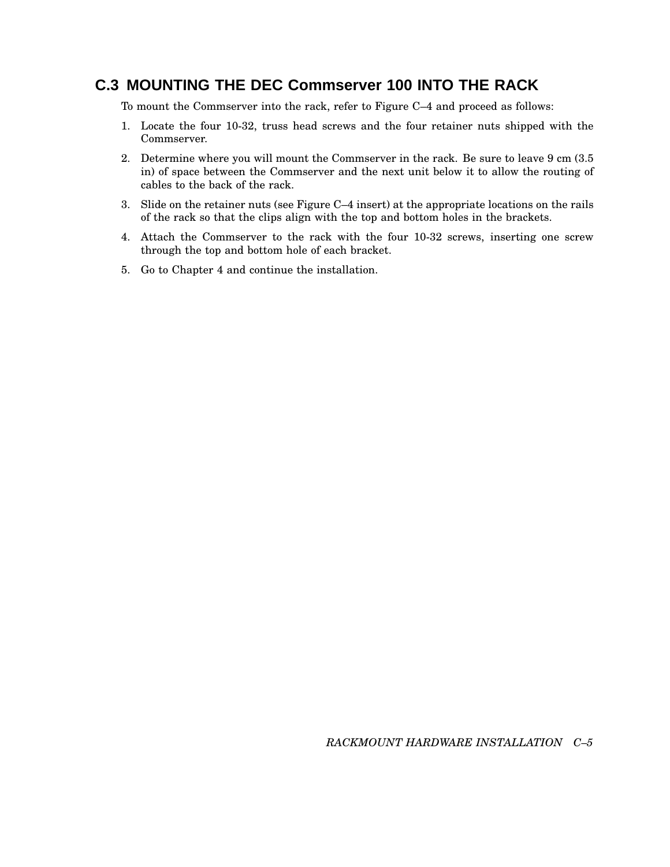## **C.3 MOUNTING THE DEC Commserver 100 INTO THE RACK**

To mount the Commserver into the rack, refer to Figure C–4 and proceed as follows:

- 1. Locate the four 10-32, truss head screws and the four retainer nuts shipped with the Commserver.
- 2. Determine where you will mount the Commserver in the rack. Be sure to leave 9 cm (3.5 in) of space between the Commserver and the next unit below it to allow the routing of cables to the back of the rack.
- 3. Slide on the retainer nuts (see Figure C–4 insert) at the appropriate locations on the rails of the rack so that the clips align with the top and bottom holes in the brackets.
- 4. Attach the Commserver to the rack with the four 10-32 screws, inserting one screw through the top and bottom hole of each bracket.
- 5. Go to Chapter 4 and continue the installation.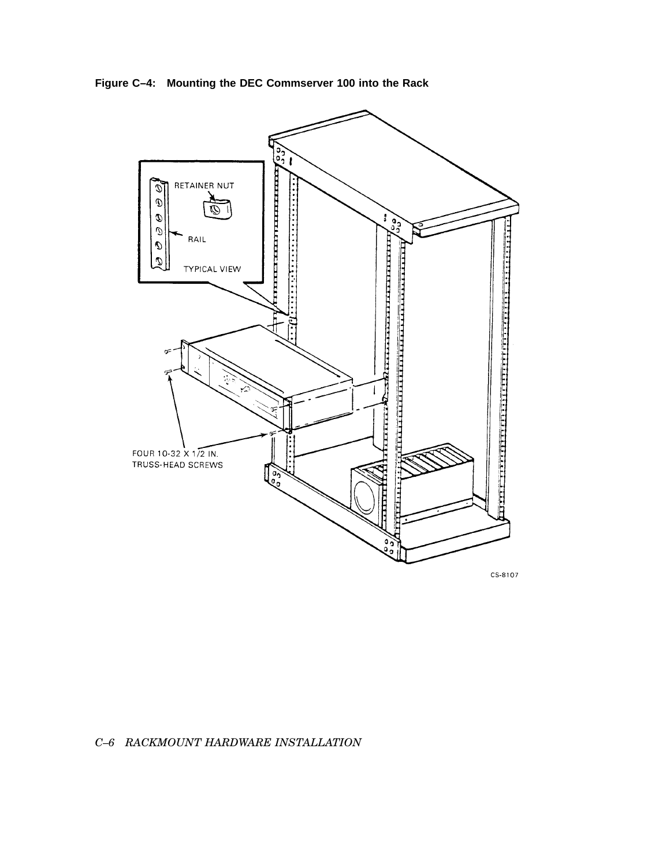Figure C-4: Mounting the DEC Commserver 100 into the Rack



CS-8107

### C-6 RACKMOUNT HARDWARE INSTALLATION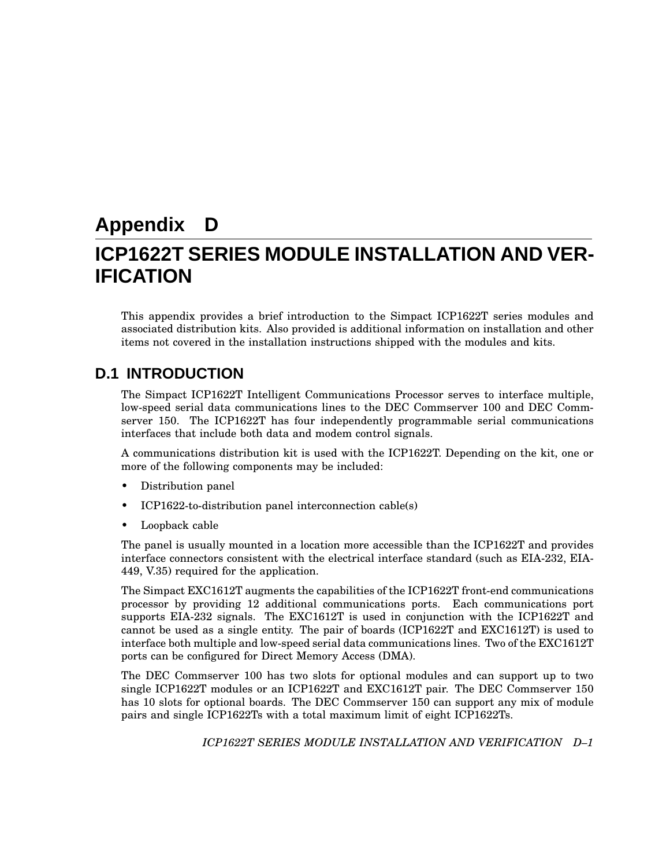# **Appendix D ICP1622T SERIES MODULE INSTALLATION AND VER-IFICATION**

This appendix provides a brief introduction to the Simpact ICP1622T series modules and associated distribution kits. Also provided is additional information on installation and other items not covered in the installation instructions shipped with the modules and kits.

## **D.1 INTRODUCTION**

The Simpact ICP1622T Intelligent Communications Processor serves to interface multiple, low-speed serial data communications lines to the DEC Commserver 100 and DEC Commserver 150. The ICP1622T has four independently programmable serial communications interfaces that include both data and modem control signals.

A communications distribution kit is used with the ICP1622T. Depending on the kit, one or more of the following components may be included:

- Distribution panel
- ICP1622-to-distribution panel interconnection cable(s)
- Loopback cable

The panel is usually mounted in a location more accessible than the ICP1622T and provides interface connectors consistent with the electrical interface standard (such as EIA-232, EIA-449, V.35) required for the application.

The Simpact EXC1612T augments the capabilities of the ICP1622T front-end communications processor by providing 12 additional communications ports. Each communications port supports EIA-232 signals. The EXC1612T is used in conjunction with the ICP1622T and cannot be used as a single entity. The pair of boards (ICP1622T and EXC1612T) is used to interface both multiple and low-speed serial data communications lines. Two of the EXC1612T ports can be configured for Direct Memory Access (DMA).

The DEC Commserver 100 has two slots for optional modules and can support up to two single ICP1622T modules or an ICP1622T and EXC1612T pair. The DEC Commserver 150 has 10 slots for optional boards. The DEC Commserver 150 can support any mix of module pairs and single ICP1622Ts with a total maximum limit of eight ICP1622Ts.

*ICP1622T SERIES MODULE INSTALLATION AND VERIFICATION D–1*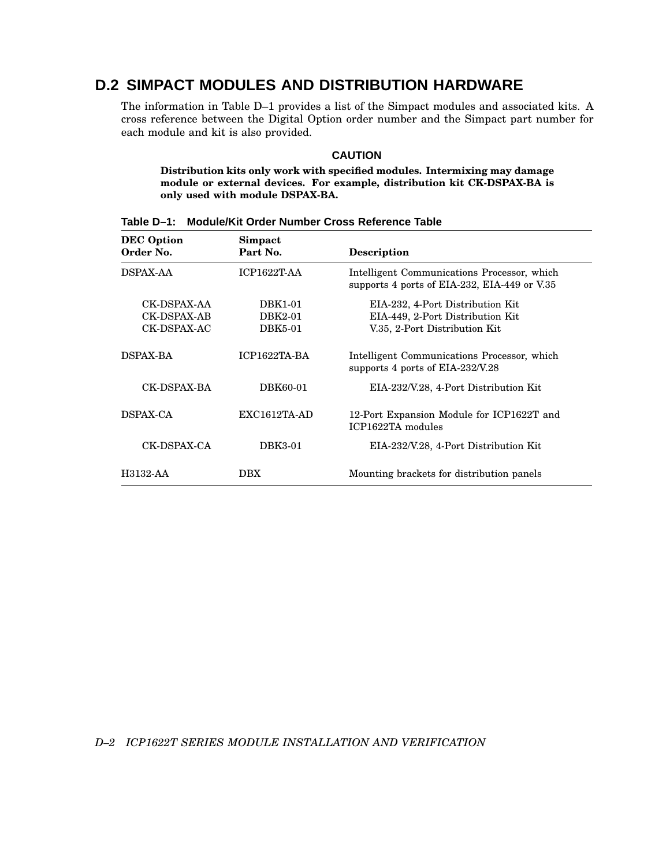# **D.2 SIMPACT MODULES AND DISTRIBUTION HARDWARE**

The information in Table D–1 provides a list of the Simpact modules and associated kits. A cross reference between the Digital Option order number and the Simpact part number for each module and kit is also provided.

#### **CAUTION**

**Distribution kits only work with specified modules. Intermixing may damage module or external devices. For example, distribution kit CK-DSPAX-BA is only used with module DSPAX-BA.**

| <b>DEC</b> Option<br>Order No.            | Simpact<br>Part No.           | <b>Description</b>                                                                                    |
|-------------------------------------------|-------------------------------|-------------------------------------------------------------------------------------------------------|
| <b>DSPAX-AA</b>                           | $ICP1622T-AA$                 | Intelligent Communications Processor, which<br>supports 4 ports of EIA-232, EIA-449 or V.35           |
| CK-DSPAX-AA<br>CK-DSPAX-AB<br>CK-DSPAX-AC | DBK1-01<br>DBK2-01<br>DBK5-01 | EIA-232, 4-Port Distribution Kit<br>EIA-449, 2-Port Distribution Kit<br>V.35, 2-Port Distribution Kit |
| <b>DSPAX-BA</b>                           | ICP1622TA-BA                  | Intelligent Communications Processor, which<br>supports 4 ports of EIA-232/V.28                       |
| CK-DSPAX-BA                               | DBK60-01                      | EIA-232/V.28, 4-Port Distribution Kit                                                                 |
| DSPAX-CA                                  | $EXC1612TA-AD$                | 12-Port Expansion Module for ICP1622T and<br>ICP1622TA modules                                        |
| CK-DSPAX-CA                               | DBK3-01                       | EIA-232/V.28, 4-Port Distribution Kit                                                                 |
| H3132-AA                                  | <b>DBX</b>                    | Mounting brackets for distribution panels                                                             |

**Table D–1: Module/Kit Order Number Cross Reference Table**

*D–2 ICP1622T SERIES MODULE INSTALLATION AND VERIFICATION*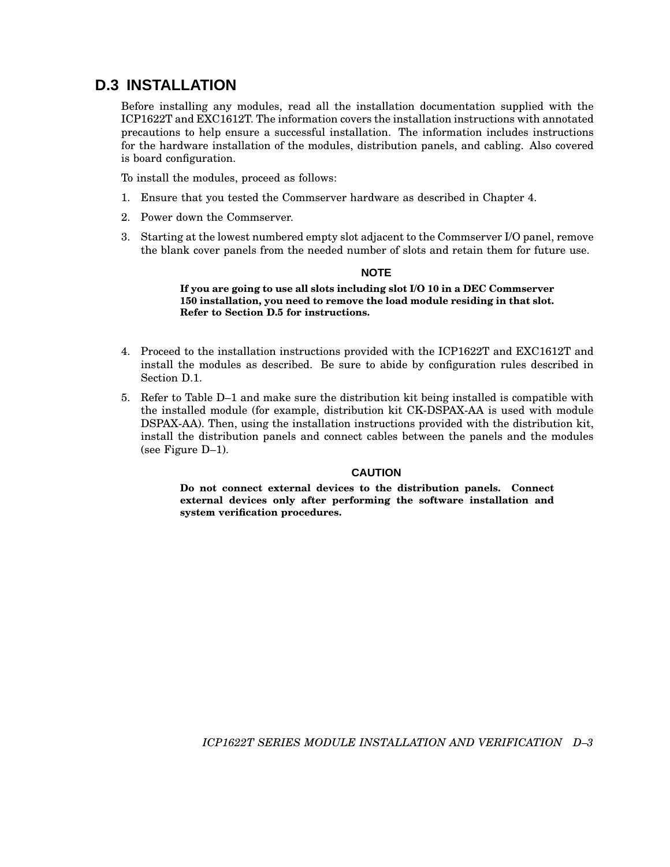## **D.3 INSTALLATION**

Before installing any modules, read all the installation documentation supplied with the ICP1622T and EXC1612T. The information covers the installation instructions with annotated precautions to help ensure a successful installation. The information includes instructions for the hardware installation of the modules, distribution panels, and cabling. Also covered is board configuration.

To install the modules, proceed as follows:

- 1. Ensure that you tested the Commserver hardware as described in Chapter 4.
- 2. Power down the Commserver.
- 3. Starting at the lowest numbered empty slot adjacent to the Commserver I/O panel, remove the blank cover panels from the needed number of slots and retain them for future use.

#### **NOTE**

**If you are going to use all slots including slot I/O 10 in a DEC Commserver 150 installation, you need to remove the load module residing in that slot. Refer to Section D.5 for instructions.**

- 4. Proceed to the installation instructions provided with the ICP1622T and EXC1612T and install the modules as described. Be sure to abide by configuration rules described in Section D.1.
- 5. Refer to Table D–1 and make sure the distribution kit being installed is compatible with the installed module (for example, distribution kit CK-DSPAX-AA is used with module DSPAX-AA). Then, using the installation instructions provided with the distribution kit, install the distribution panels and connect cables between the panels and the modules (see Figure D–1).

#### **CAUTION**

**Do not connect external devices to the distribution panels. Connect external devices only after performing the software installation and system verification procedures.**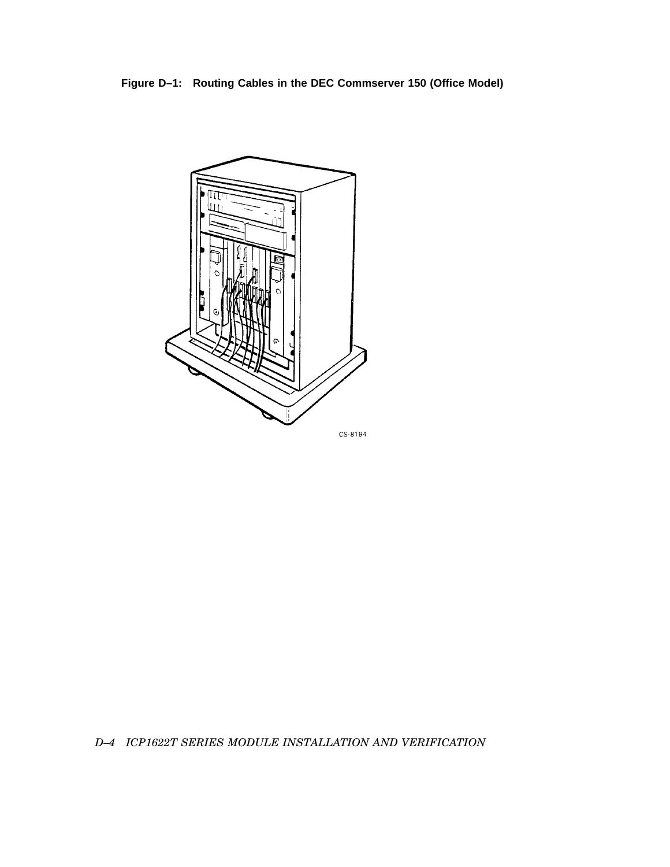**Figure D–1: Routing Cables in the DEC Commserver 150 (Office Model)**



*D–4 ICP1622T SERIES MODULE INSTALLATION AND VERIFICATION*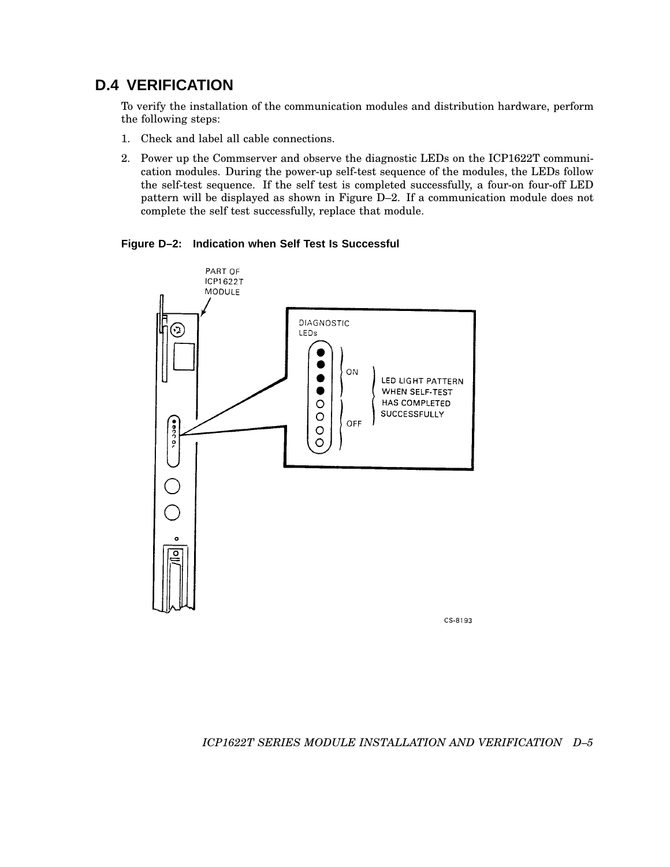# **D.4 VERIFICATION**

To verify the installation of the communication modules and distribution hardware, perform the following steps:

- 1. Check and label all cable connections.
- 2. Power up the Commserver and observe the diagnostic LEDs on the ICP1622T communication modules. During the power-up self-test sequence of the modules, the LEDs follow the self-test sequence. If the self test is completed successfully, a four-on four-off LED pattern will be displayed as shown in Figure D–2. If a communication module does not complete the self test successfully, replace that module.

**Figure D–2: Indication when Self Test Is Successful**



CS-8193

#### *ICP1622T SERIES MODULE INSTALLATION AND VERIFICATION D–5*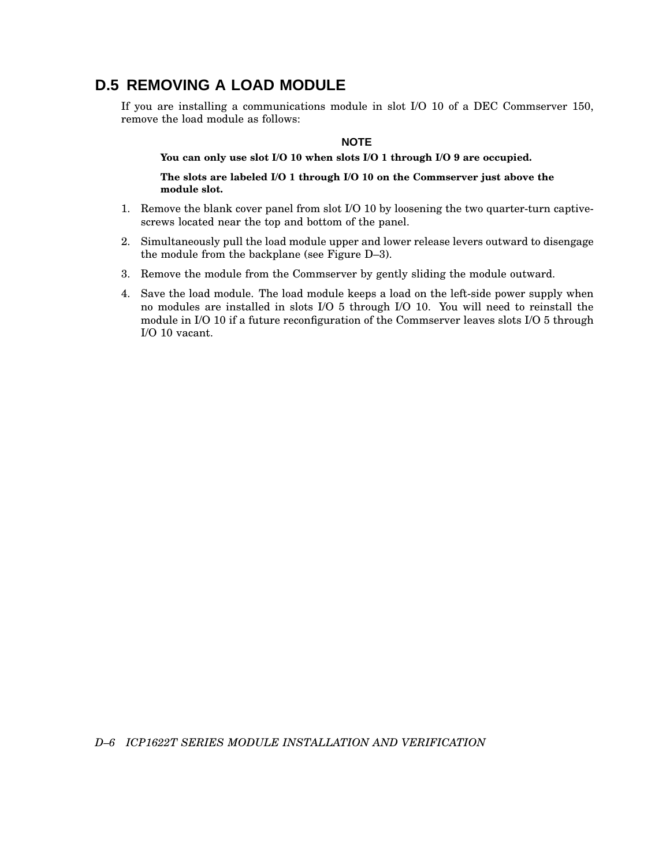## **D.5 REMOVING A LOAD MODULE**

If you are installing a communications module in slot I/O 10 of a DEC Commserver 150, remove the load module as follows:

#### **NOTE**

**You can only use slot I/O 10 when slots I/O 1 through I/O 9 are occupied.**

**The slots are labeled I/O 1 through I/O 10 on the Commserver just above the module slot.**

- 1. Remove the blank cover panel from slot I/O 10 by loosening the two quarter-turn captivescrews located near the top and bottom of the panel.
- 2. Simultaneously pull the load module upper and lower release levers outward to disengage the module from the backplane (see Figure D–3).
- 3. Remove the module from the Commserver by gently sliding the module outward.
- 4. Save the load module. The load module keeps a load on the left-side power supply when no modules are installed in slots I/O 5 through I/O 10. You will need to reinstall the module in I/O 10 if a future reconfiguration of the Commserver leaves slots I/O 5 through I/O 10 vacant.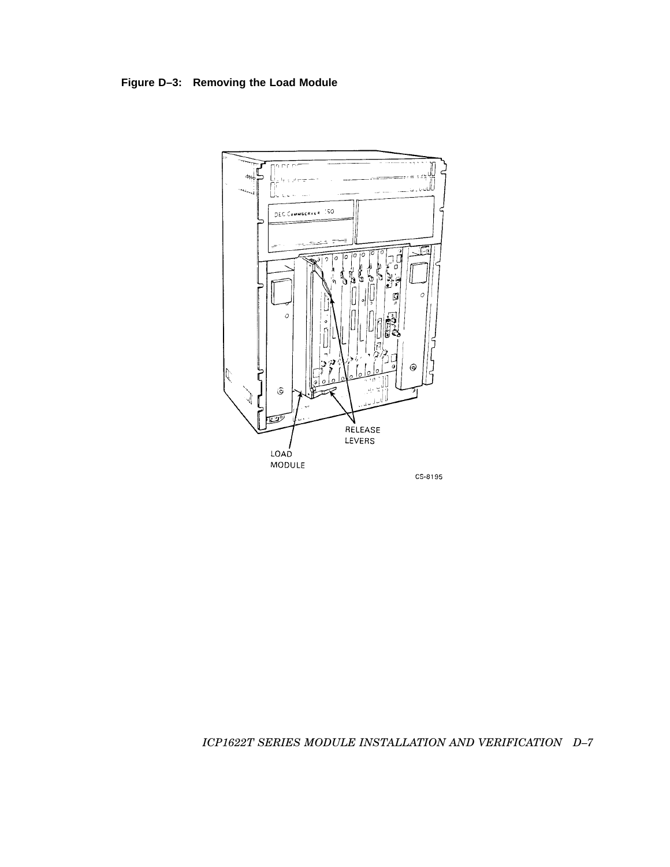**Figure D–3: Removing the Load Module**



CS-8195

## *ICP1622T SERIES MODULE INSTALLATION AND VERIFICATION D–7*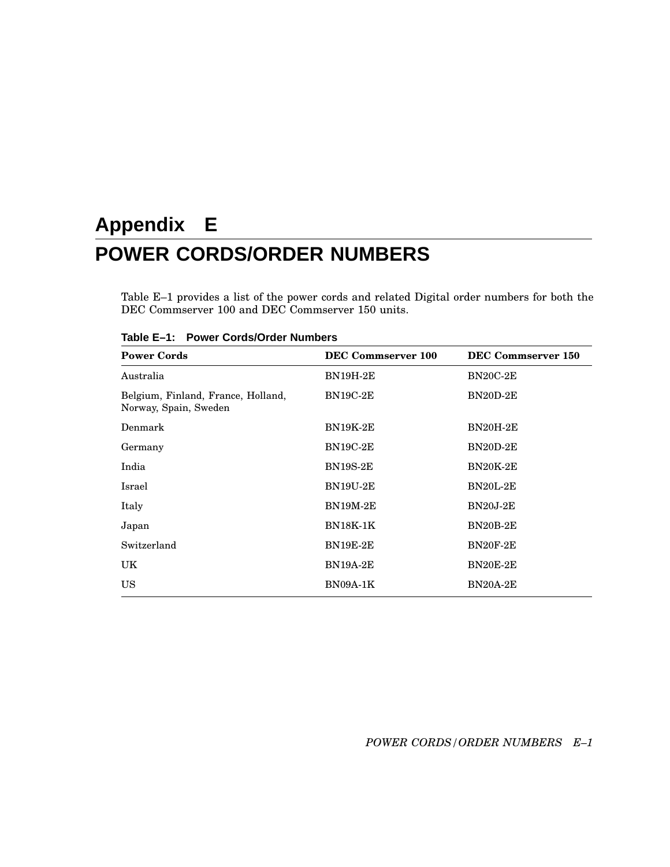# **Appendix E POWER CORDS/ORDER NUMBERS**

Table E–1 provides a list of the power cords and related Digital order numbers for both the DEC Commserver 100 and DEC Commserver 150 units.

| <b>Power Cords</b>                                          | DEC Commserver 100 | DEC Commserver 150 |
|-------------------------------------------------------------|--------------------|--------------------|
| Australia                                                   | <b>BN19H-2E</b>    | <b>BN20C-2E</b>    |
| Belgium, Finland, France, Holland,<br>Norway, Spain, Sweden | <b>BN19C-2E</b>    | BN20D-2E           |
| Denmark                                                     | <b>BN19K-2E</b>    | <b>BN20H-2E</b>    |
| Germany                                                     | <b>BN19C-2E</b>    | BN20D-2E           |
| India                                                       | <b>BN19S-2E</b>    | <b>BN20K-2E</b>    |
| Israel                                                      | <b>BN19U-2E</b>    | <b>BN20L-2E</b>    |
| Italy                                                       | <b>BN19M-2E</b>    | <b>BN20J-2E</b>    |
| Japan                                                       | <b>BN18K-1K</b>    | <b>BN20B-2E</b>    |
| Switzerland                                                 | <b>BN19E-2E</b>    | <b>BN20F-2E</b>    |
| UK                                                          | <b>BN19A-2E</b>    | <b>BN20E-2E</b>    |
| <b>US</b>                                                   | <b>BN09A-1K</b>    | <b>BN20A-2E</b>    |

**Table E–1: Power Cords/Order Numbers**

*POWER CORDS/ORDER NUMBERS E–1*